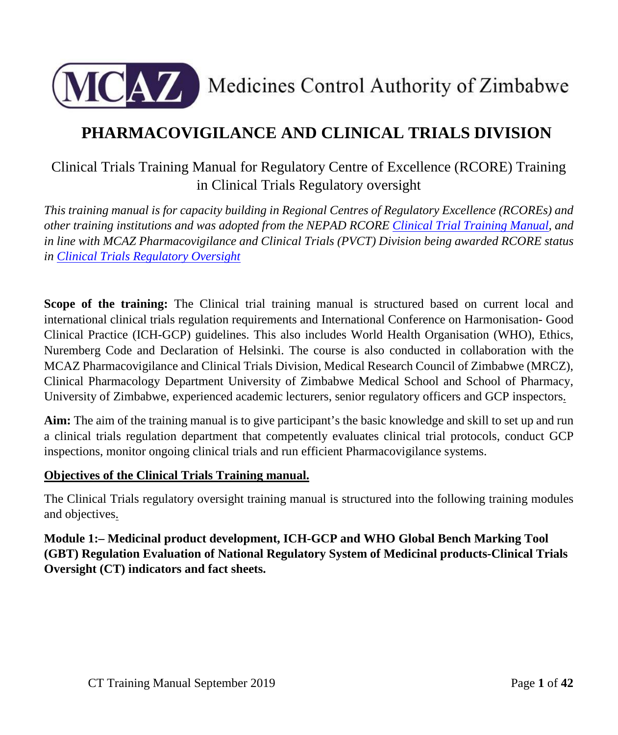

# **PHARMACOVIGILANCE AND CLINICAL TRIALS DIVISION**

# Clinical Trials Training Manual for Regulatory Centre of Excellence (RCORE) Training in Clinical Trials Regulatory oversight

*This training manual is for capacity building in Regional Centres of Regulatory Excellence (RCOREs) and other training institutions and was adopted from the NEPAD RCORE Clinical Trial [Training Manual,](https://www.nepad.org/publication/clinical-trials-training-manual) and in line with MCAZ Pharmacovigilance and Clinical Trials (PVCT) Division being awarded RCORE status in [Clinical Trials Regulatory Oversight](http://www.nepad.org/nepad-oncontinent/african-medicines-regulatory-harmonisation-amrh-zimbabwe)*

**Scope of the training:** The Clinical trial training manual is structured based on current local and international clinical trials regulation requirements and International Conference on Harmonisation- Good Clinical Practice (ICH-GCP) guidelines. This also includes World Health Organisation (WHO), Ethics, Nuremberg Code and Declaration of Helsinki. The course is also conducted in collaboration with the MCAZ Pharmacovigilance and Clinical Trials Division, Medical Research Council of Zimbabwe (MRCZ), Clinical Pharmacology Department University of Zimbabwe Medical School and School of Pharmacy, University of Zimbabwe, experienced academic lecturers, senior regulatory officers and GCP inspectors.

**Aim:** The aim of the training manual is to give participant's the basic knowledge and skill to set up and run a clinical trials regulation department that competently evaluates clinical trial protocols, conduct GCP inspections, monitor ongoing clinical trials and run efficient Pharmacovigilance systems.

#### **Objectives of the Clinical Trials Training manual.**

The Clinical Trials regulatory oversight training manual is structured into the following training modules and objectives.

**Module 1:– Medicinal product development, ICH-GCP and WHO Global Bench Marking Tool (GBT) Regulation Evaluation of National Regulatory System of Medicinal products-Clinical Trials Oversight (CT) indicators and fact sheets.**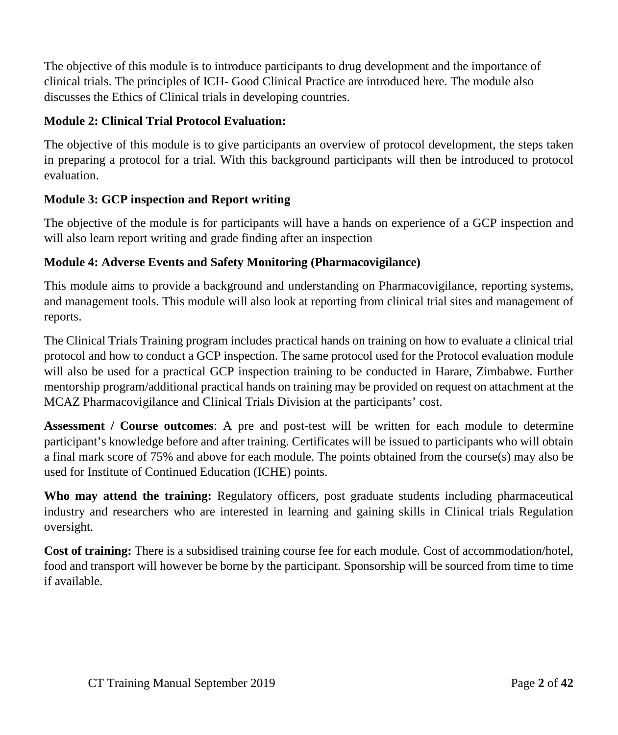The objective of this module is to introduce participants to drug development and the importance of clinical trials. The principles of ICH- Good Clinical Practice are introduced here. The module also discusses the Ethics of Clinical trials in developing countries.

# **Module 2: Clinical Trial Protocol Evaluation:**

The objective of this module is to give participants an overview of protocol development, the steps taken in preparing a protocol for a trial. With this background participants will then be introduced to protocol evaluation.

# **Module 3: GCP inspection and Report writing**

The objective of the module is for participants will have a hands on experience of a GCP inspection and will also learn report writing and grade finding after an inspection

# **Module 4: Adverse Events and Safety Monitoring (Pharmacovigilance)**

This module aims to provide a background and understanding on Pharmacovigilance, reporting systems, and management tools. This module will also look at reporting from clinical trial sites and management of reports.

The Clinical Trials Training program includes practical hands on training on how to evaluate a clinical trial protocol and how to conduct a GCP inspection. The same protocol used for the Protocol evaluation module will also be used for a practical GCP inspection training to be conducted in Harare, Zimbabwe. Further mentorship program/additional practical hands on training may be provided on request on attachment at the MCAZ Pharmacovigilance and Clinical Trials Division at the participants' cost.

**Assessment / Course outcomes**: A pre and post-test will be written for each module to determine participant's knowledge before and after training. Certificates will be issued to participants who will obtain a final mark score of 75% and above for each module. The points obtained from the course(s) may also be used for Institute of Continued Education (ICHE) points.

**Who may attend the training:** Regulatory officers, post graduate students including pharmaceutical industry and researchers who are interested in learning and gaining skills in Clinical trials Regulation oversight.

**Cost of training:** There is a subsidised training course fee for each module. Cost of accommodation/hotel, food and transport will however be borne by the participant. Sponsorship will be sourced from time to time if available.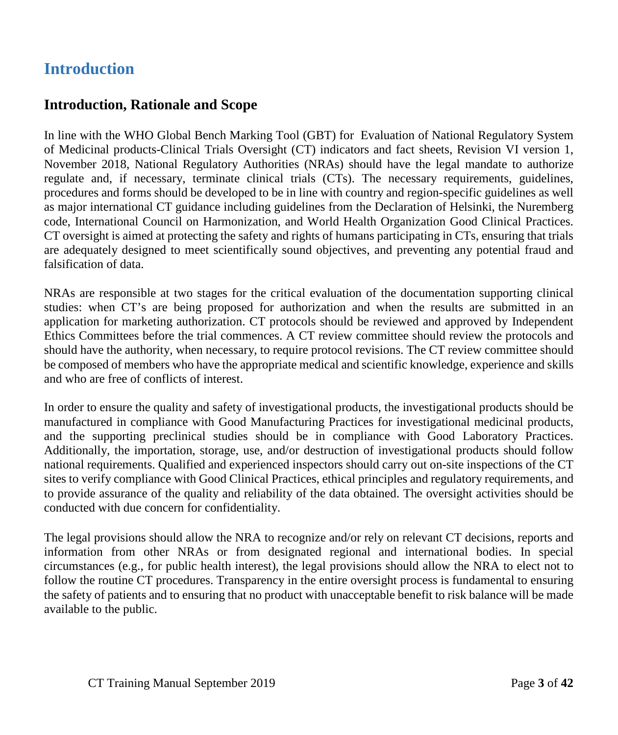# **Introduction**

# **Introduction, Rationale and Scope**

In line with the WHO Global Bench Marking Tool (GBT) for Evaluation of National Regulatory System of Medicinal products-Clinical Trials Oversight (CT) indicators and fact sheets, Revision VI version 1, November 2018, National Regulatory Authorities (NRAs) should have the legal mandate to authorize regulate and, if necessary, terminate clinical trials (CTs). The necessary requirements, guidelines, procedures and forms should be developed to be in line with country and region-specific guidelines as well as major international CT guidance including guidelines from the Declaration of Helsinki, the Nuremberg code, International Council on Harmonization, and World Health Organization Good Clinical Practices. CT oversight is aimed at protecting the safety and rights of humans participating in CTs, ensuring that trials are adequately designed to meet scientifically sound objectives, and preventing any potential fraud and falsification of data.

NRAs are responsible at two stages for the critical evaluation of the documentation supporting clinical studies: when CT's are being proposed for authorization and when the results are submitted in an application for marketing authorization. CT protocols should be reviewed and approved by Independent Ethics Committees before the trial commences. A CT review committee should review the protocols and should have the authority, when necessary, to require protocol revisions. The CT review committee should be composed of members who have the appropriate medical and scientific knowledge, experience and skills and who are free of conflicts of interest.

In order to ensure the quality and safety of investigational products, the investigational products should be manufactured in compliance with Good Manufacturing Practices for investigational medicinal products, and the supporting preclinical studies should be in compliance with Good Laboratory Practices. Additionally, the importation, storage, use, and/or destruction of investigational products should follow national requirements. Qualified and experienced inspectors should carry out on-site inspections of the CT sites to verify compliance with Good Clinical Practices, ethical principles and regulatory requirements, and to provide assurance of the quality and reliability of the data obtained. The oversight activities should be conducted with due concern for confidentiality.

The legal provisions should allow the NRA to recognize and/or rely on relevant CT decisions, reports and information from other NRAs or from designated regional and international bodies. In special circumstances (e.g., for public health interest), the legal provisions should allow the NRA to elect not to follow the routine CT procedures. Transparency in the entire oversight process is fundamental to ensuring the safety of patients and to ensuring that no product with unacceptable benefit to risk balance will be made available to the public.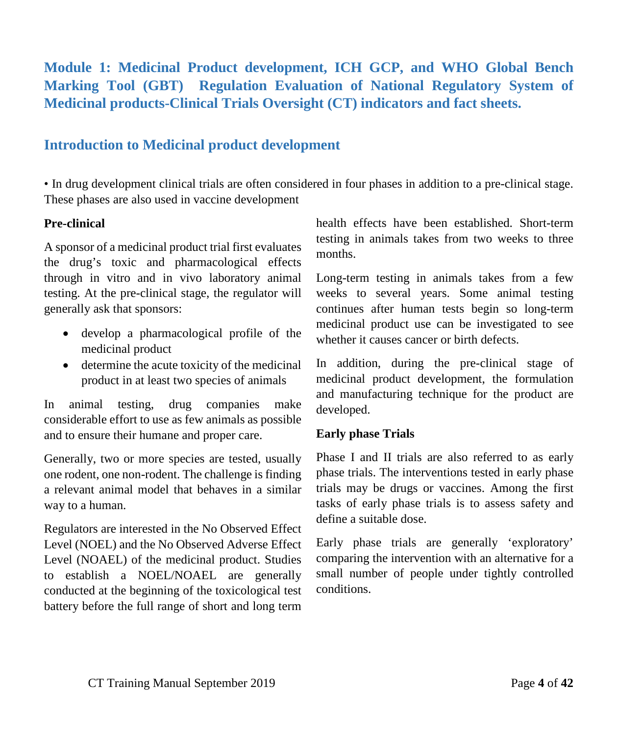# **Module 1: Medicinal Product development, ICH GCP, and WHO Global Bench Marking Tool (GBT) Regulation Evaluation of National Regulatory System of Medicinal products-Clinical Trials Oversight (CT) indicators and fact sheets.**

# **Introduction to Medicinal product development**

• In drug development clinical trials are often considered in four phases in addition to a pre-clinical stage. These phases are also used in vaccine development

#### **Pre-clinical**

A sponsor of a medicinal product trial first evaluates the drug's toxic and pharmacological effects through in vitro and in vivo laboratory animal testing. At the pre-clinical stage, the regulator will generally ask that sponsors:

- develop a pharmacological profile of the medicinal product
- determine the acute toxicity of the medicinal product in at least two species of animals

In animal testing, drug companies make considerable effort to use as few animals as possible and to ensure their humane and proper care.

Generally, two or more species are tested, usually one rodent, one non-rodent. The challenge is finding a relevant animal model that behaves in a similar way to a human.

Regulators are interested in the No Observed Effect Level (NOEL) and the No Observed Adverse Effect Level (NOAEL) of the medicinal product. Studies to establish a NOEL/NOAEL are generally conducted at the beginning of the toxicological test battery before the full range of short and long term health effects have been established. Short-term testing in animals takes from two weeks to three months.

Long-term testing in animals takes from a few weeks to several years. Some animal testing continues after human tests begin so long-term medicinal product use can be investigated to see whether it causes cancer or birth defects.

In addition, during the pre-clinical stage of medicinal product development, the formulation and manufacturing technique for the product are developed.

#### **Early phase Trials**

Phase I and II trials are also referred to as early phase trials. The interventions tested in early phase trials may be drugs or vaccines. Among the first tasks of early phase trials is to assess safety and define a suitable dose.

Early phase trials are generally 'exploratory' comparing the intervention with an alternative for a small number of people under tightly controlled conditions.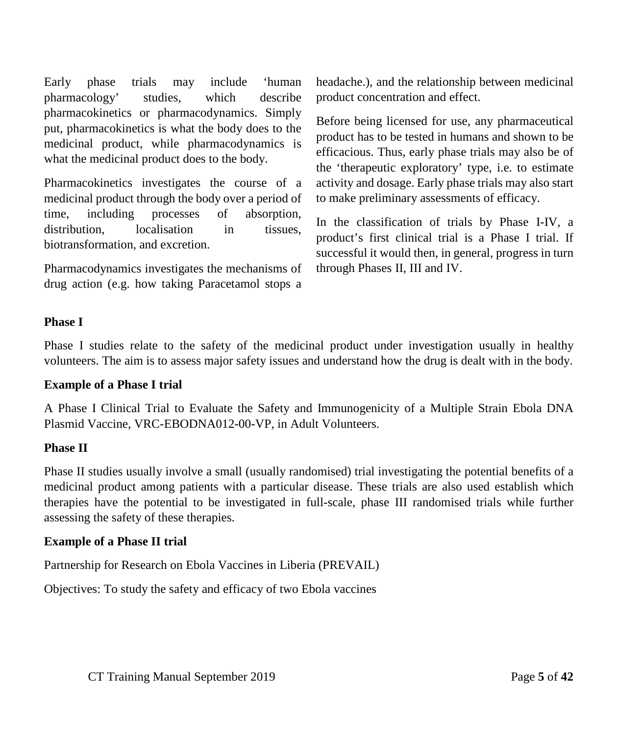Early phase trials may include 'human pharmacology' studies, which describe pharmacokinetics or pharmacodynamics. Simply put, pharmacokinetics is what the body does to the medicinal product, while pharmacodynamics is what the medicinal product does to the body.

Pharmacokinetics investigates the course of a medicinal product through the body over a period of time, including processes of absorption, distribution, localisation in tissues, biotransformation, and excretion.

Pharmacodynamics investigates the mechanisms of drug action (e.g. how taking Paracetamol stops a headache.), and the relationship between medicinal product concentration and effect.

Before being licensed for use, any pharmaceutical product has to be tested in humans and shown to be efficacious. Thus, early phase trials may also be of the 'therapeutic exploratory' type, i.e. to estimate activity and dosage. Early phase trials may also start to make preliminary assessments of efficacy.

In the classification of trials by Phase I-IV, a product's first clinical trial is a Phase I trial. If successful it would then, in general, progress in turn through Phases II, III and IV.

# **Phase I**

Phase I studies relate to the safety of the medicinal product under investigation usually in healthy volunteers. The aim is to assess major safety issues and understand how the drug is dealt with in the body.

#### **Example of a Phase I trial**

A Phase I Clinical Trial to Evaluate the Safety and Immunogenicity of a Multiple Strain Ebola DNA Plasmid Vaccine, VRC-EBODNA012-00-VP, in Adult Volunteers.

#### **Phase II**

Phase II studies usually involve a small (usually randomised) trial investigating the potential benefits of a medicinal product among patients with a particular disease. These trials are also used establish which therapies have the potential to be investigated in full-scale, phase III randomised trials while further assessing the safety of these therapies.

#### **Example of a Phase II trial**

Partnership for Research on Ebola Vaccines in Liberia (PREVAIL)

Objectives: To study the safety and efficacy of two Ebola vaccines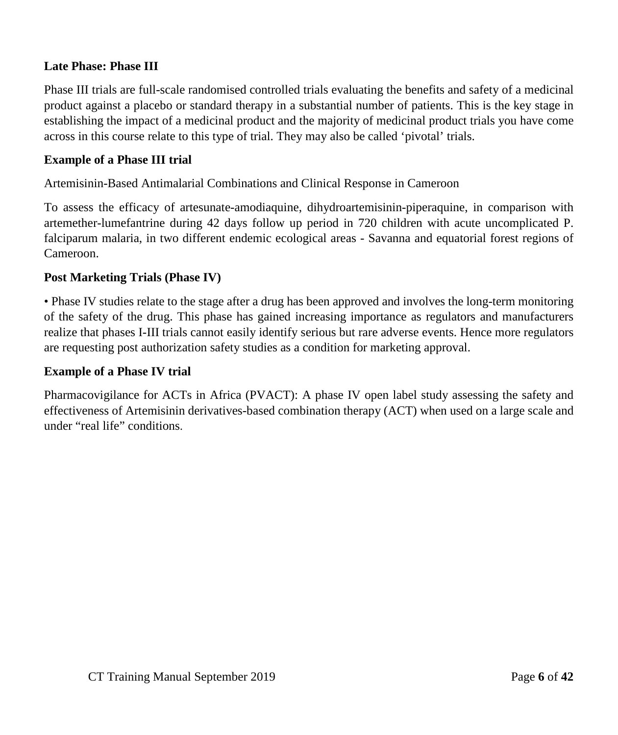### **Late Phase: Phase III**

Phase III trials are full-scale randomised controlled trials evaluating the benefits and safety of a medicinal product against a placebo or standard therapy in a substantial number of patients. This is the key stage in establishing the impact of a medicinal product and the majority of medicinal product trials you have come across in this course relate to this type of trial. They may also be called 'pivotal' trials.

#### **Example of a Phase III trial**

Artemisinin-Based Antimalarial Combinations and Clinical Response in Cameroon

To assess the efficacy of artesunate-amodiaquine, dihydroartemisinin-piperaquine, in comparison with artemether-lumefantrine during 42 days follow up period in 720 children with acute uncomplicated P. falciparum malaria, in two different endemic ecological areas - Savanna and equatorial forest regions of Cameroon.

#### **Post Marketing Trials (Phase IV)**

• Phase IV studies relate to the stage after a drug has been approved and involves the long-term monitoring of the safety of the drug. This phase has gained increasing importance as regulators and manufacturers realize that phases I-III trials cannot easily identify serious but rare adverse events. Hence more regulators are requesting post authorization safety studies as a condition for marketing approval.

#### **Example of a Phase IV trial**

Pharmacovigilance for ACTs in Africa (PVACT): A phase IV open label study assessing the safety and effectiveness of Artemisinin derivatives-based combination therapy (ACT) when used on a large scale and under "real life" conditions.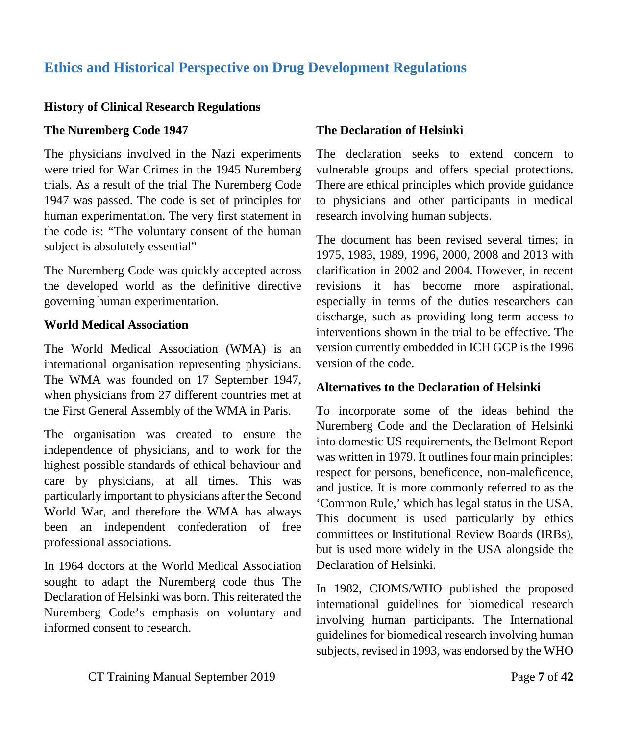# **Ethics and Historical Perspective on Drug Development Regulations**

### **History of Clinical Research Regulations**

#### **The Nuremberg Code 1947**

The physicians involved in the Nazi experiments were tried for War Crimes in the 1945 Nuremberg trials. As a result of the trial The Nuremberg Code 1947 was passed. The code is set of principles for human experimentation. The very first statement in the code is: "The voluntary consent of the human subject is absolutely essential"

The Nuremberg Code was quickly accepted across the developed world as the definitive directive governing human experimentation.

#### **World Medical Association**

The World Medical Association (WMA) is an international organisation representing physicians. The WMA was founded on 17 September 1947, when physicians from 27 different countries met at the First General Assembly of the WMA in Paris.

The organisation was created to ensure the independence of physicians, and to work for the highest possible standards of ethical behaviour and care by physicians, at all times. This was particularly important to physicians after the Second World War, and therefore the WMA has always been an independent confederation of free professional associations.

In 1964 doctors at the World Medical Association sought to adapt the Nuremberg code thus The Declaration of Helsinki was born. This reiterated the Nuremberg Code's emphasis on voluntary and informed consent to research.

#### **The Declaration of Helsinki**

The declaration seeks to extend concern to vulnerable groups and offers special protections. There are ethical principles which provide guidance to physicians and other participants in medical research involving human subjects.

The document has been revised several times; in 1975, 1983, 1989, 1996, 2000, 2008 and 2013 with clarification in 2002 and 2004. However, in recent revisions it has become more aspirational, especially in terms of the duties researchers can discharge, such as providing long term access to interventions shown in the trial to be effective. The version currently embedded in ICH GCP is the 1996 version of the code.

# **Alternatives to the Declaration of Helsinki**

To incorporate some of the ideas behind the Nuremberg Code and the Declaration of Helsinki into domestic US requirements, the Belmont Report was written in 1979. It outlines four main principles: respect for persons, beneficence, non-maleficence, and justice. It is more commonly referred to as the 'Common Rule,' which has legal status in the USA. This document is used particularly by ethics committees or Institutional Review Boards (IRBs), but is used more widely in the USA alongside the Declaration of Helsinki.

In 1982, CIOMS/WHO published the proposed international guidelines for biomedical research involving human participants. The International guidelines for biomedical research involving human subjects, revised in 1993, was endorsed by the WHO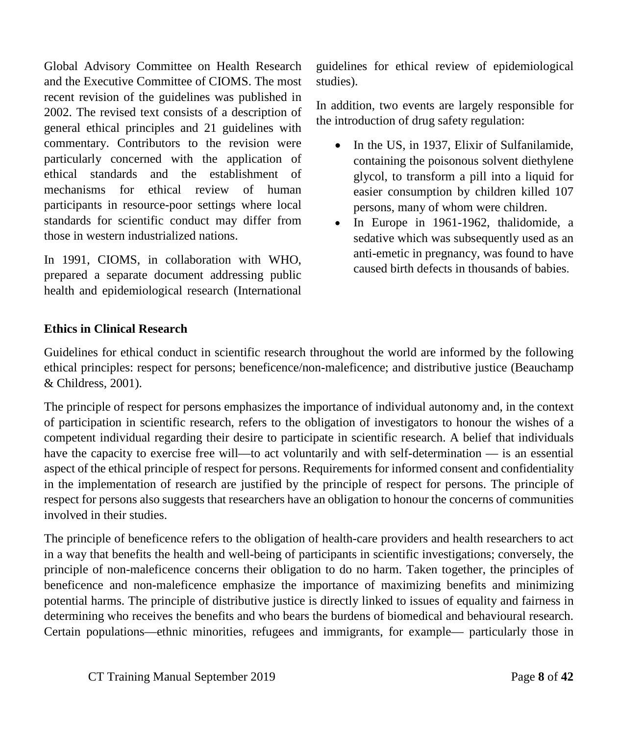Global Advisory Committee on Health Research and the Executive Committee of CIOMS. The most recent revision of the guidelines was published in 2002. The revised text consists of a description of general ethical principles and 21 guidelines with commentary. Contributors to the revision were particularly concerned with the application of ethical standards and the establishment of mechanisms for ethical review of human participants in resource-poor settings where local standards for scientific conduct may differ from those in western industrialized nations.

In 1991, CIOMS, in collaboration with WHO, prepared a separate document addressing public health and epidemiological research (International

guidelines for ethical review of epidemiological studies).

In addition, two events are largely responsible for the introduction of drug safety regulation:

- In the US, in 1937, Elixir of Sulfanilamide, containing the poisonous solvent diethylene glycol, to transform a pill into a liquid for easier consumption by children killed 107 persons, many of whom were children.
- In Europe in 1961-1962, thalidomide, a sedative which was subsequently used as an anti-emetic in pregnancy, was found to have caused birth defects in thousands of babies.

# **Ethics in Clinical Research**

Guidelines for ethical conduct in scientific research throughout the world are informed by the following ethical principles: respect for persons; beneficence/non-maleficence; and distributive justice (Beauchamp & Childress, 2001).

The principle of respect for persons emphasizes the importance of individual autonomy and, in the context of participation in scientific research, refers to the obligation of investigators to honour the wishes of a competent individual regarding their desire to participate in scientific research. A belief that individuals have the capacity to exercise free will—to act voluntarily and with self-determination — is an essential aspect of the ethical principle of respect for persons. Requirements for informed consent and confidentiality in the implementation of research are justified by the principle of respect for persons. The principle of respect for persons also suggests that researchers have an obligation to honour the concerns of communities involved in their studies.

The principle of beneficence refers to the obligation of health-care providers and health researchers to act in a way that benefits the health and well-being of participants in scientific investigations; conversely, the principle of non-maleficence concerns their obligation to do no harm. Taken together, the principles of beneficence and non-maleficence emphasize the importance of maximizing benefits and minimizing potential harms. The principle of distributive justice is directly linked to issues of equality and fairness in determining who receives the benefits and who bears the burdens of biomedical and behavioural research. Certain populations—ethnic minorities, refugees and immigrants, for example— particularly those in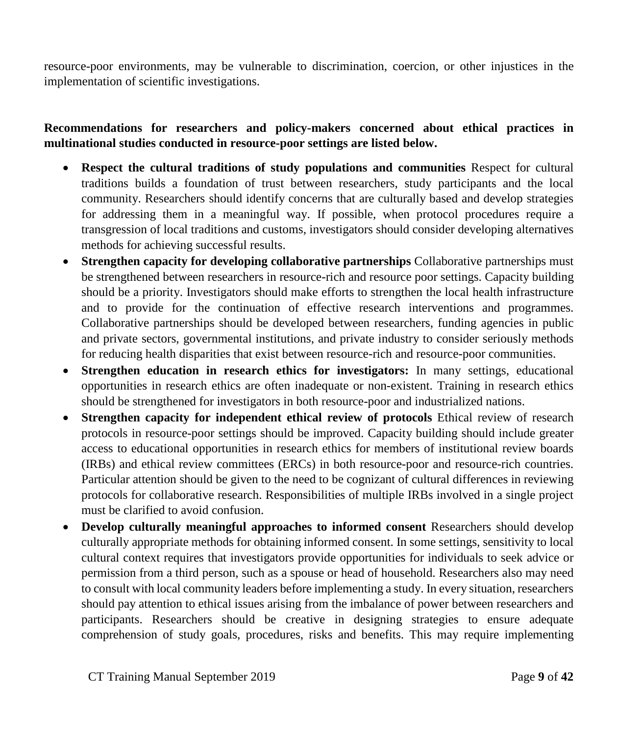resource-poor environments, may be vulnerable to discrimination, coercion, or other injustices in the implementation of scientific investigations.

**Recommendations for researchers and policy-makers concerned about ethical practices in multinational studies conducted in resource-poor settings are listed below.**

- **Respect the cultural traditions of study populations and communities** Respect for cultural traditions builds a foundation of trust between researchers, study participants and the local community. Researchers should identify concerns that are culturally based and develop strategies for addressing them in a meaningful way. If possible, when protocol procedures require a transgression of local traditions and customs, investigators should consider developing alternatives methods for achieving successful results.
- **Strengthen capacity for developing collaborative partnerships** Collaborative partnerships must be strengthened between researchers in resource-rich and resource poor settings. Capacity building should be a priority. Investigators should make efforts to strengthen the local health infrastructure and to provide for the continuation of effective research interventions and programmes. Collaborative partnerships should be developed between researchers, funding agencies in public and private sectors, governmental institutions, and private industry to consider seriously methods for reducing health disparities that exist between resource-rich and resource-poor communities.
- **Strengthen education in research ethics for investigators:** In many settings, educational opportunities in research ethics are often inadequate or non-existent. Training in research ethics should be strengthened for investigators in both resource-poor and industrialized nations.
- **Strengthen capacity for independent ethical review of protocols Ethical review of research** protocols in resource-poor settings should be improved. Capacity building should include greater access to educational opportunities in research ethics for members of institutional review boards (IRBs) and ethical review committees (ERCs) in both resource-poor and resource-rich countries. Particular attention should be given to the need to be cognizant of cultural differences in reviewing protocols for collaborative research. Responsibilities of multiple IRBs involved in a single project must be clarified to avoid confusion.
- **Develop culturally meaningful approaches to informed consent** Researchers should develop culturally appropriate methods for obtaining informed consent. In some settings, sensitivity to local cultural context requires that investigators provide opportunities for individuals to seek advice or permission from a third person, such as a spouse or head of household. Researchers also may need to consult with local community leaders before implementing a study. In every situation, researchers should pay attention to ethical issues arising from the imbalance of power between researchers and participants. Researchers should be creative in designing strategies to ensure adequate comprehension of study goals, procedures, risks and benefits. This may require implementing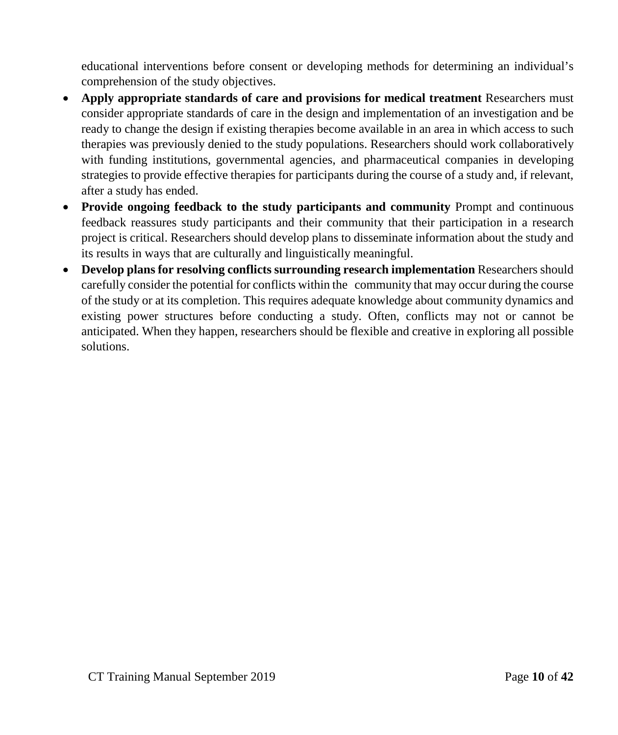educational interventions before consent or developing methods for determining an individual's comprehension of the study objectives.

- **Apply appropriate standards of care and provisions for medical treatment** Researchers must consider appropriate standards of care in the design and implementation of an investigation and be ready to change the design if existing therapies become available in an area in which access to such therapies was previously denied to the study populations. Researchers should work collaboratively with funding institutions, governmental agencies, and pharmaceutical companies in developing strategies to provide effective therapies for participants during the course of a study and, if relevant, after a study has ended.
- **Provide ongoing feedback to the study participants and community** Prompt and continuous feedback reassures study participants and their community that their participation in a research project is critical. Researchers should develop plans to disseminate information about the study and its results in ways that are culturally and linguistically meaningful.
- **Develop plans for resolving conflicts surrounding research implementation** Researchers should carefully consider the potential for conflicts within the community that may occur during the course of the study or at its completion. This requires adequate knowledge about community dynamics and existing power structures before conducting a study. Often, conflicts may not or cannot be anticipated. When they happen, researchers should be flexible and creative in exploring all possible solutions.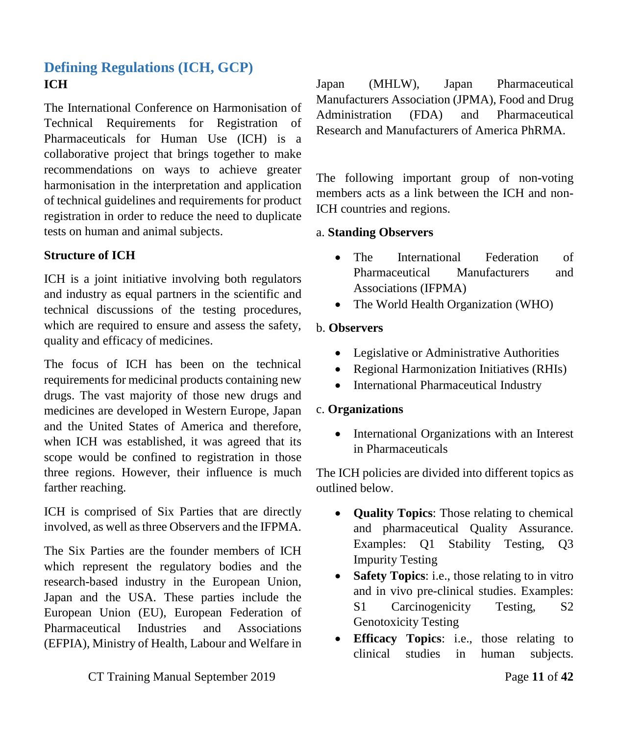# **Defining Regulations (ICH, GCP) ICH**

The International Conference on Harmonisation of Technical Requirements for Registration of Pharmaceuticals for Human Use (ICH) is a collaborative project that brings together to make recommendations on ways to achieve greater harmonisation in the interpretation and application of technical guidelines and requirements for product registration in order to reduce the need to duplicate tests on human and animal subjects.

# **Structure of ICH**

ICH is a joint initiative involving both regulators and industry as equal partners in the scientific and technical discussions of the testing procedures, which are required to ensure and assess the safety, quality and efficacy of medicines.

The focus of ICH has been on the technical requirements for medicinal products containing new drugs. The vast majority of those new drugs and medicines are developed in Western Europe, Japan and the United States of America and therefore, when ICH was established, it was agreed that its scope would be confined to registration in those three regions. However, their influence is much farther reaching.

ICH is comprised of Six Parties that are directly involved, as well as three Observers and the IFPMA.

The Six Parties are the founder members of ICH which represent the regulatory bodies and the research-based industry in the European Union, Japan and the USA. These parties include the European Union (EU), European Federation of Pharmaceutical Industries and Associations (EFPIA), Ministry of Health, Labour and Welfare in Japan (MHLW), Japan Pharmaceutical Manufacturers Association (JPMA), Food and Drug Administration (FDA) and Pharmaceutical Research and Manufacturers of America PhRMA.

The following important group of non-voting members acts as a link between the ICH and non-ICH countries and regions.

# a. **Standing Observers**

- The International Federation of Pharmaceutical Manufacturers and Associations (IFPMA)
- The World Health Organization (WHO)

# b. **Observers**

- Legislative or Administrative Authorities
- Regional Harmonization Initiatives (RHIs)
- International Pharmaceutical Industry

# c. **Organizations**

• International Organizations with an Interest in Pharmaceuticals

The ICH policies are divided into different topics as outlined below.

- **Quality Topics**: Those relating to chemical and pharmaceutical Quality Assurance. Examples: Q1 Stability Testing, Q3 Impurity Testing
- **Safety Topics**: i.e., those relating to in vitro and in vivo pre-clinical studies. Examples: S1 Carcinogenicity Testing, S2 Genotoxicity Testing
- **Efficacy Topics:** i.e., those relating to clinical studies in human subjects.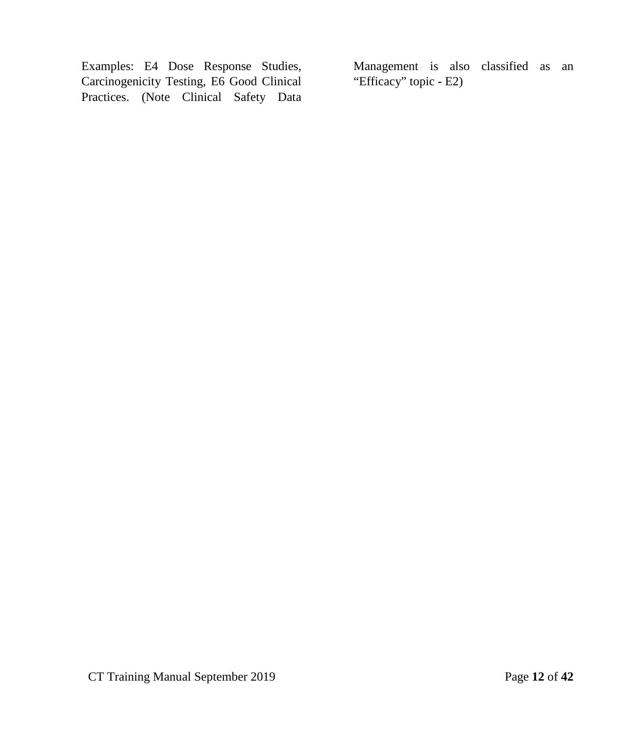Examples: E4 Dose Response Studies, Carcinogenicity Testing, E6 Good Clinical Practices. (Note Clinical Safety Data

Management is also classified as an "Efficacy" topic - E2)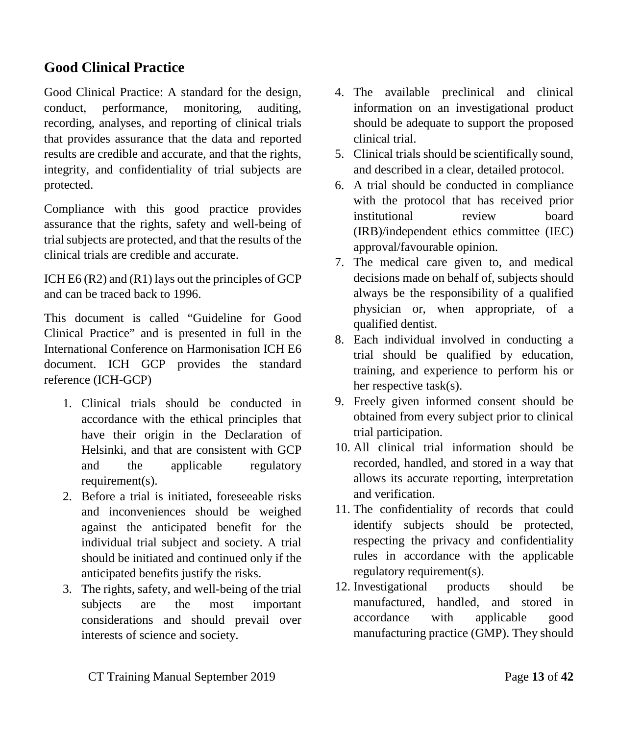# **Good Clinical Practice**

Good Clinical Practice: A standard for the design, conduct, performance, monitoring, auditing, recording, analyses, and reporting of clinical trials that provides assurance that the data and reported results are credible and accurate, and that the rights, integrity, and confidentiality of trial subjects are protected.

Compliance with this good practice provides assurance that the rights, safety and well-being of trial subjects are protected, and that the results of the clinical trials are credible and accurate.

ICH E6 (R2) and (R1) lays out the principles of GCP and can be traced back to 1996.

This document is called "Guideline for Good Clinical Practice" and is presented in full in the International Conference on Harmonisation ICH E6 document. ICH GCP provides the standard reference (ICH-GCP)

- 1. Clinical trials should be conducted in accordance with the ethical principles that have their origin in the Declaration of Helsinki, and that are consistent with GCP and the applicable regulatory requirement(s).
- 2. Before a trial is initiated, foreseeable risks and inconveniences should be weighed against the anticipated benefit for the individual trial subject and society. A trial should be initiated and continued only if the anticipated benefits justify the risks.
- 3. The rights, safety, and well-being of the trial subjects are the most important considerations and should prevail over interests of science and society.
- 4. The available preclinical and clinical information on an investigational product should be adequate to support the proposed clinical trial.
- 5. Clinical trials should be scientifically sound, and described in a clear, detailed protocol.
- 6. A trial should be conducted in compliance with the protocol that has received prior institutional review board (IRB)/independent ethics committee (IEC) approval/favourable opinion.
- 7. The medical care given to, and medical decisions made on behalf of, subjects should always be the responsibility of a qualified physician or, when appropriate, of a qualified dentist.
- 8. Each individual involved in conducting a trial should be qualified by education, training, and experience to perform his or her respective task(s).
- 9. Freely given informed consent should be obtained from every subject prior to clinical trial participation.
- 10. All clinical trial information should be recorded, handled, and stored in a way that allows its accurate reporting, interpretation and verification.
- 11. The confidentiality of records that could identify subjects should be protected, respecting the privacy and confidentiality rules in accordance with the applicable regulatory requirement(s).
- 12. Investigational products should be manufactured, handled, and stored in accordance with applicable good manufacturing practice (GMP). They should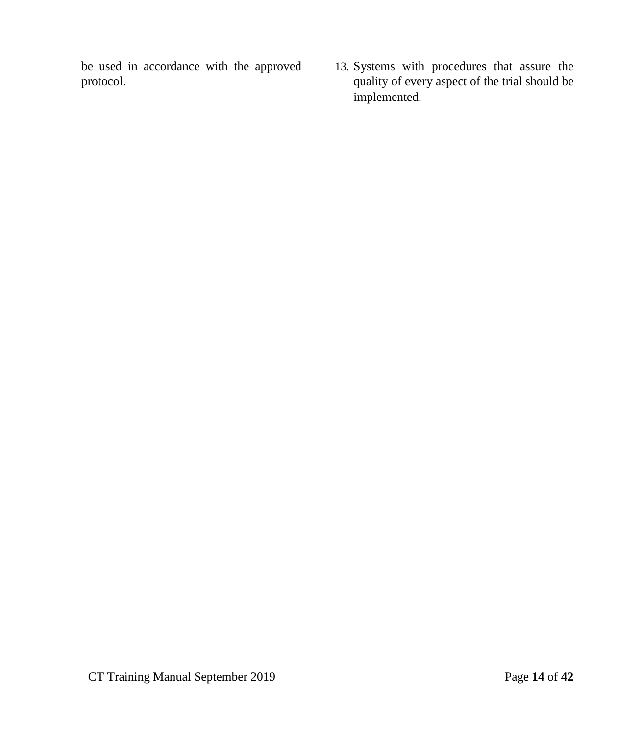be used in accordance with the approved protocol.

13. Systems with procedures that assure the quality of every aspect of the trial should be implemented.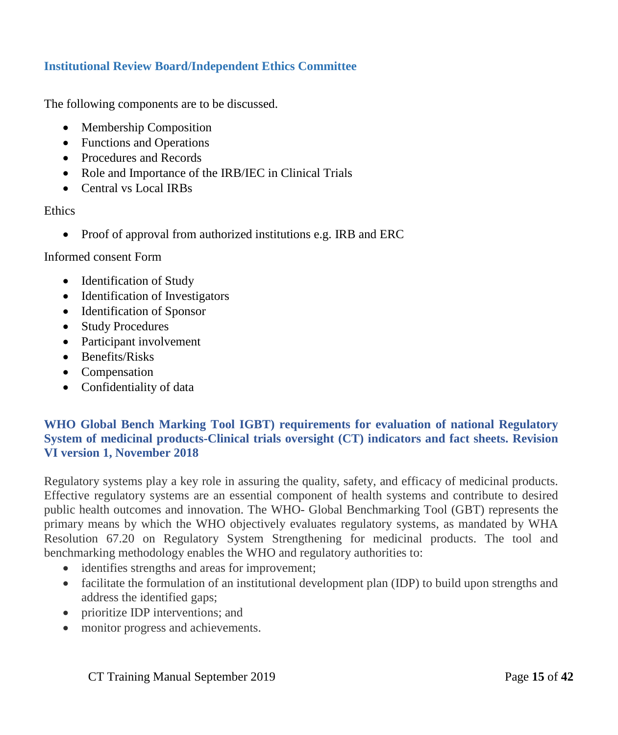### **Institutional Review Board/Independent Ethics Committee**

The following components are to be discussed.

- Membership Composition
- Functions and Operations
- Procedures and Records
- Role and Importance of the IRB/IEC in Clinical Trials
- Central vs Local IRBs

#### **Ethics**

• Proof of approval from authorized institutions e.g. IRB and ERC

#### Informed consent Form

- Identification of Study
- Identification of Investigators
- Identification of Sponsor
- Study Procedures
- Participant involvement
- Benefits/Risks
- Compensation
- Confidentiality of data

### **WHO Global Bench Marking Tool IGBT) requirements for evaluation of national Regulatory System of medicinal products-Clinical trials oversight (CT) indicators and fact sheets. Revision VI version 1, November 2018**

Regulatory systems play a key role in assuring the quality, safety, and efficacy of medicinal products. Effective regulatory systems are an essential component of health systems and contribute to desired public health outcomes and innovation. The WHO- Global Benchmarking Tool (GBT) represents the primary means by which the WHO objectively evaluates regulatory systems, as mandated by WHA Resolution 67.20 on Regulatory System Strengthening for medicinal products. The tool and benchmarking methodology enables the WHO and regulatory authorities to:

- identifies strengths and areas for improvement;
- facilitate the formulation of an institutional development plan (IDP) to build upon strengths and address the identified gaps;
- prioritize IDP interventions; and
- monitor progress and achievements.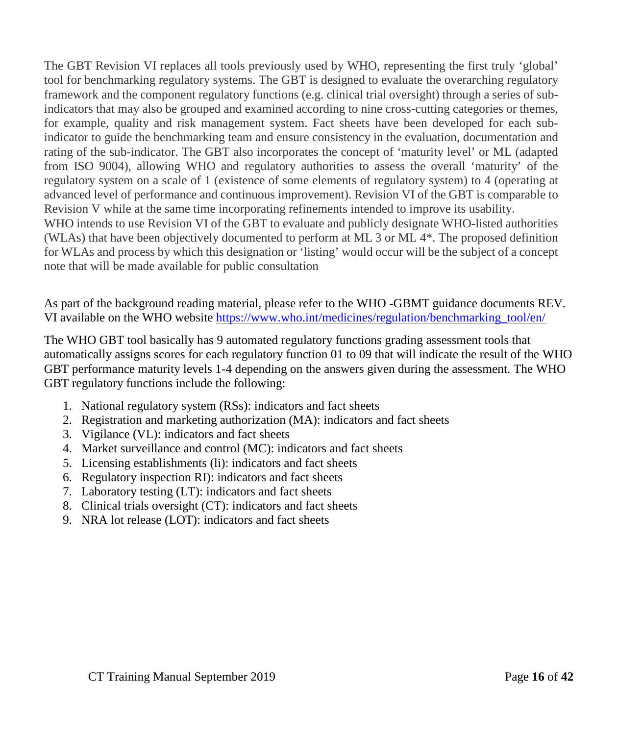The GBT Revision VI replaces all tools previously used by WHO, representing the first truly 'global' tool for benchmarking regulatory systems. The GBT is designed to evaluate the overarching regulatory framework and the component regulatory functions (e.g. clinical trial oversight) through a series of subindicators that may also be grouped and examined according to nine cross-cutting categories or themes, for example, quality and risk management system. Fact sheets have been developed for each subindicator to guide the benchmarking team and ensure consistency in the evaluation, documentation and rating of the sub-indicator. The GBT also incorporates the concept of 'maturity level' or ML (adapted from ISO 9004), allowing WHO and regulatory authorities to assess the overall 'maturity' of the regulatory system on a scale of 1 (existence of some elements of regulatory system) to 4 (operating at advanced level of performance and continuous improvement). Revision VI of the GBT is comparable to Revision V while at the same time incorporating refinements intended to improve its usability. WHO intends to use Revision VI of the GBT to evaluate and publicly designate WHO-listed authorities (WLAs) that have been objectively documented to perform at ML 3 or ML 4\*. The proposed definition for WLAs and process by which this designation or 'listing' would occur will be the subject of a concept note that will be made available for public consultation

As part of the background reading material, please refer to the WHO -GBMT guidance documents REV. VI available on the WHO website [https://www.who.int/medicines/regulation/benchmarking\\_tool/en/](https://www.who.int/medicines/regulation/benchmarking_tool/en/)

The WHO GBT tool basically has 9 automated regulatory functions grading assessment tools that automatically assigns scores for each regulatory function 01 to 09 that will indicate the result of the WHO GBT performance maturity levels 1-4 depending on the answers given during the assessment. The WHO GBT regulatory functions include the following:

- 1. National regulatory system (RSs): indicators and fact sheets
- 2. Registration and marketing authorization (MA): indicators and fact sheets
- 3. Vigilance (VL): indicators and fact sheets
- 4. Market surveillance and control (MC): indicators and fact sheets
- 5. Licensing establishments (li): indicators and fact sheets
- 6. Regulatory inspection RI): indicators and fact sheets
- 7. Laboratory testing (LT): indicators and fact sheets
- 8. Clinical trials oversight (CT): indicators and fact sheets
- 9. NRA lot release (LOT): indicators and fact sheets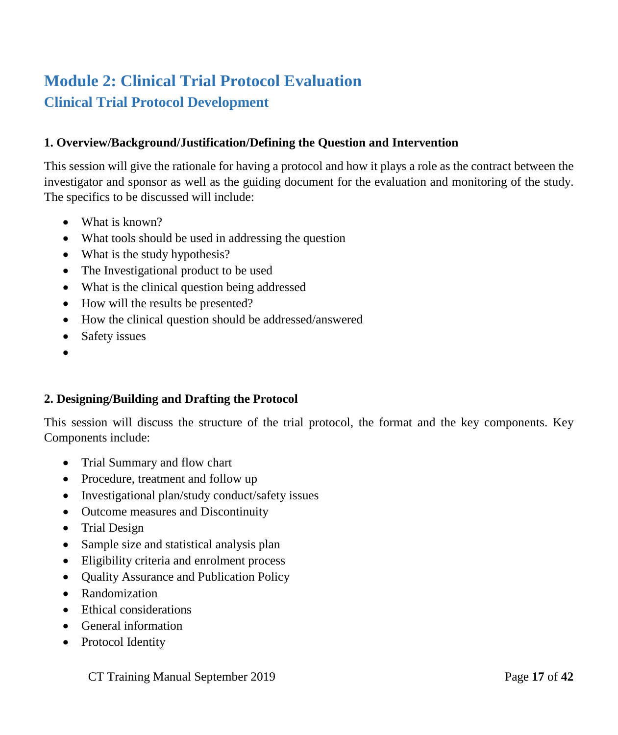# **Module 2: Clinical Trial Protocol Evaluation Clinical Trial Protocol Development**

# **1. Overview/Background/Justification/Defining the Question and Intervention**

This session will give the rationale for having a protocol and how it plays a role as the contract between the investigator and sponsor as well as the guiding document for the evaluation and monitoring of the study. The specifics to be discussed will include:

- What is known?
- What tools should be used in addressing the question
- What is the study hypothesis?
- The Investigational product to be used
- What is the clinical question being addressed
- How will the results be presented?
- How the clinical question should be addressed/answered
- Safety issues
- •

# **2. Designing/Building and Drafting the Protocol**

This session will discuss the structure of the trial protocol, the format and the key components. Key Components include:

- Trial Summary and flow chart
- Procedure, treatment and follow up
- Investigational plan/study conduct/safety issues
- Outcome measures and Discontinuity
- Trial Design
- Sample size and statistical analysis plan
- Eligibility criteria and enrolment process
- Quality Assurance and Publication Policy
- Randomization
- Ethical considerations
- General information
- Protocol Identity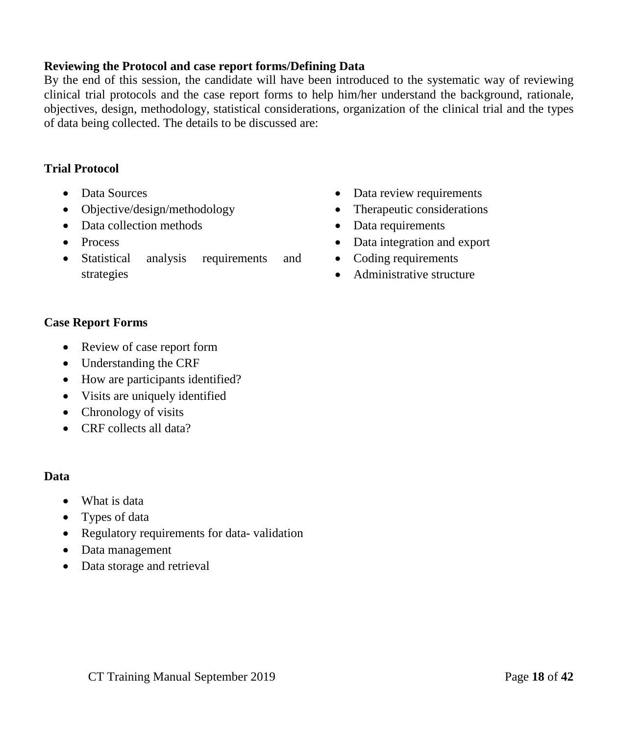#### **Reviewing the Protocol and case report forms/Defining Data**

By the end of this session, the candidate will have been introduced to the systematic way of reviewing clinical trial protocols and the case report forms to help him/her understand the background, rationale, objectives, design, methodology, statistical considerations, organization of the clinical trial and the types of data being collected. The details to be discussed are:

# **Trial Protocol**

- Data Sources
- Objective/design/methodology
- Data collection methods
- Process
- Statistical analysis requirements and strategies
- Data review requirements
- Therapeutic considerations
- Data requirements
- Data integration and export
- Coding requirements
- Administrative structure

#### **Case Report Forms**

- Review of case report form
- Understanding the CRF
- How are participants identified?
- Visits are uniquely identified
- Chronology of visits
- CRF collects all data?

#### **Data**

- What is data
- Types of data
- Regulatory requirements for data- validation
- Data management
- Data storage and retrieval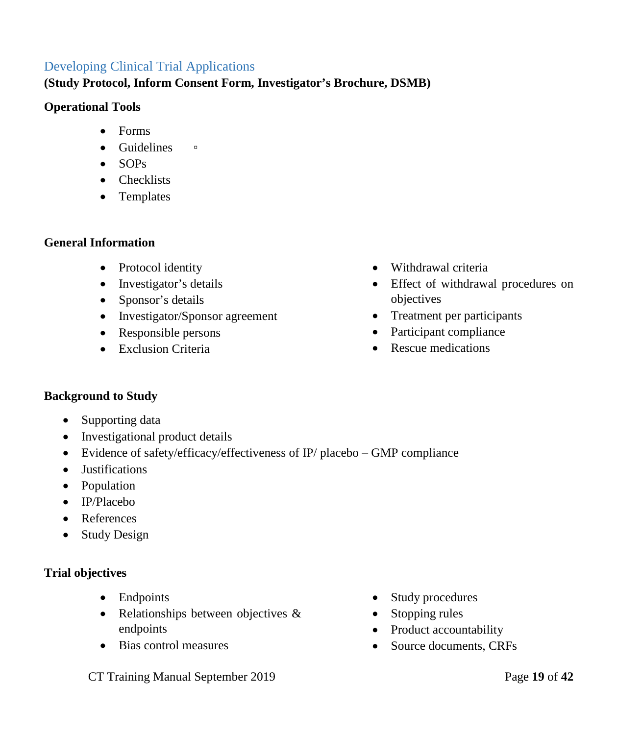# Developing Clinical Trial Applications

# **(Study Protocol, Inform Consent Form, Investigator's Brochure, DSMB)**

#### **Operational Tools**

- Forms
- Guidelines <sup>□</sup>
- SOPs
- Checklists
- Templates

#### **General Information**

- Protocol identity
- Investigator's details
- Sponsor's details
- Investigator/Sponsor agreement
- Responsible persons
- Exclusion Criteria
- Withdrawal criteria
- Effect of withdrawal procedures on objectives
- Treatment per participants
- Participant compliance
- Rescue medications

# **Background to Study**

- Supporting data
- Investigational product details
- Evidence of safety/efficacy/effectiveness of IP/ placebo GMP compliance
- Justifications
- Population
- IP/Placebo
- References
- Study Design

# **Trial objectives**

- Endpoints
- Relationships between objectives & endpoints
- Bias control measures
- Study procedures
- Stopping rules
- Product accountability
- Source documents, CRFs

CT Training Manual September 2019 Page 19 of 42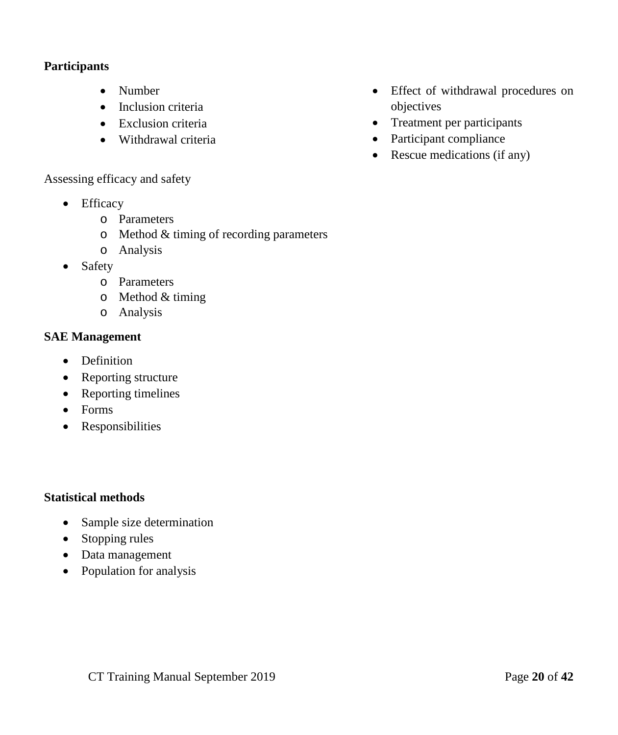### **Participants**

- Number
- Inclusion criteria
- Exclusion criteria
- Withdrawal criteria
- Effect of withdrawal procedures on objectives
- Treatment per participants
- Participant compliance
- Rescue medications (if any)

### Assessing efficacy and safety

- Efficacy
	- o Parameters
	- o Method & timing of recording parameters
	- o Analysis
- Safety
	- o Parameters
	- o Method & timing
	- o Analysis

#### **SAE Management**

- Definition
- Reporting structure
- Reporting timelines
- Forms
- Responsibilities

#### **Statistical methods**

- Sample size determination
- Stopping rules
- Data management
- Population for analysis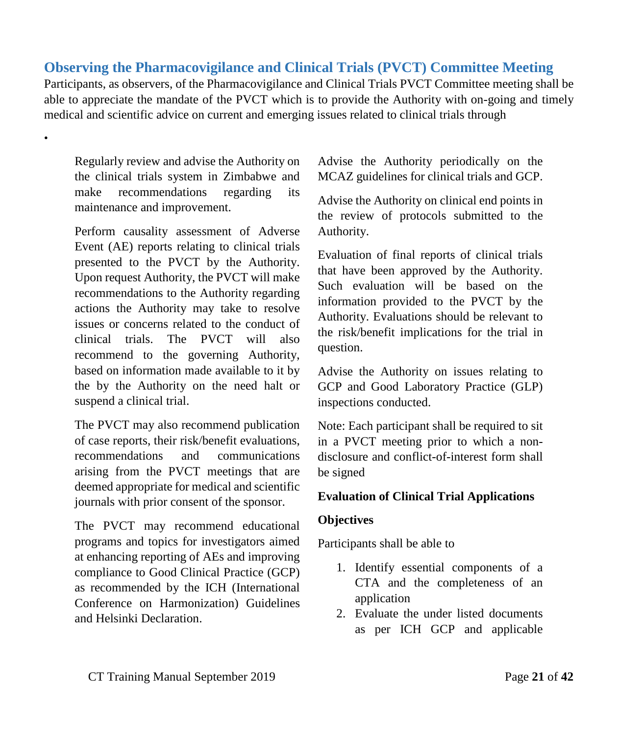# **Observing the Pharmacovigilance and Clinical Trials (PVCT) Committee Meeting**

Participants, as observers, of the Pharmacovigilance and Clinical Trials PVCT Committee meeting shall be able to appreciate the mandate of the PVCT which is to provide the Authority with on-going and timely medical and scientific advice on current and emerging issues related to clinical trials through

Regularly review and advise the Authority on the clinical trials system in Zimbabwe and make recommendations regarding its maintenance and improvement.

•

Perform causality assessment of Adverse Event (AE) reports relating to clinical trials presented to the PVCT by the Authority. Upon request Authority, the PVCT will make recommendations to the Authority regarding actions the Authority may take to resolve issues or concerns related to the conduct of clinical trials. The PVCT will also recommend to the governing Authority, based on information made available to it by the by the Authority on the need halt or suspend a clinical trial.

The PVCT may also recommend publication of case reports, their risk/benefit evaluations, recommendations and communications arising from the PVCT meetings that are deemed appropriate for medical and scientific journals with prior consent of the sponsor.

The PVCT may recommend educational programs and topics for investigators aimed at enhancing reporting of AEs and improving compliance to Good Clinical Practice (GCP) as recommended by the ICH (International Conference on Harmonization) Guidelines and Helsinki Declaration.

Advise the Authority periodically on the MCAZ guidelines for clinical trials and GCP.

Advise the Authority on clinical end points in the review of protocols submitted to the Authority.

Evaluation of final reports of clinical trials that have been approved by the Authority. Such evaluation will be based on the information provided to the PVCT by the Authority. Evaluations should be relevant to the risk/benefit implications for the trial in question.

Advise the Authority on issues relating to GCP and Good Laboratory Practice (GLP) inspections conducted.

Note: Each participant shall be required to sit in a PVCT meeting prior to which a nondisclosure and conflict-of-interest form shall be signed

# **Evaluation of Clinical Trial Applications**

#### **Objectives**

Participants shall be able to

- 1. Identify essential components of a CTA and the completeness of an application
- 2. Evaluate the under listed documents as per ICH GCP and applicable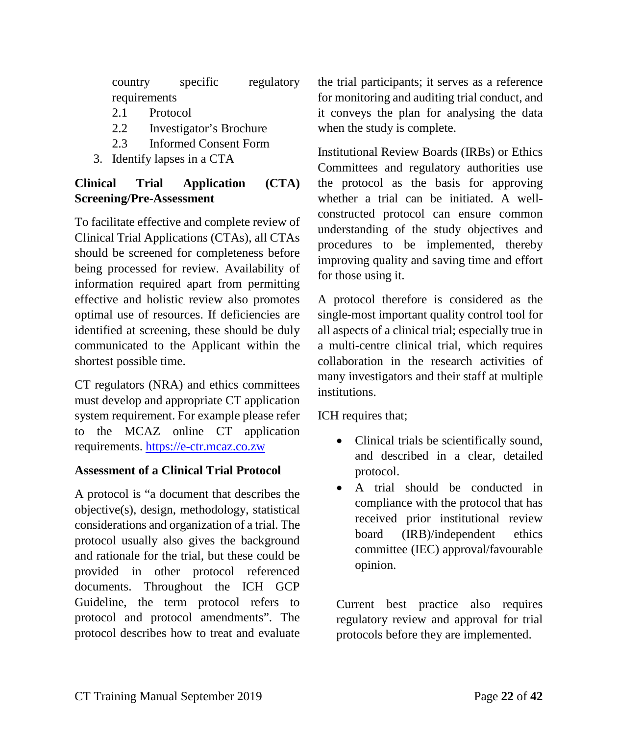country specific regulatory requirements

- 2.1 Protocol
- 2.2 Investigator's Brochure
- 2.3 Informed Consent Form
- 3. Identify lapses in a CTA

# **Clinical Trial Application (CTA) Screening/Pre-Assessment**

To facilitate effective and complete review of Clinical Trial Applications (CTAs), all CTAs should be screened for completeness before being processed for review. Availability of information required apart from permitting effective and holistic review also promotes optimal use of resources. If deficiencies are identified at screening, these should be duly communicated to the Applicant within the shortest possible time.

CT regulators (NRA) and ethics committees must develop and appropriate CT application system requirement. For example please refer to the MCAZ online CT application requirements. [https://e-ctr.mcaz.co.zw](https://e-ctr.mcaz.co.zw/)

# **Assessment of a Clinical Trial Protocol**

A protocol is "a document that describes the objective(s), design, methodology, statistical considerations and organization of a trial. The protocol usually also gives the background and rationale for the trial, but these could be provided in other protocol referenced documents. Throughout the ICH GCP Guideline, the term protocol refers to protocol and protocol amendments". The protocol describes how to treat and evaluate the trial participants; it serves as a reference for monitoring and auditing trial conduct, and it conveys the plan for analysing the data when the study is complete.

Institutional Review Boards (IRBs) or Ethics Committees and regulatory authorities use the protocol as the basis for approving whether a trial can be initiated. A wellconstructed protocol can ensure common understanding of the study objectives and procedures to be implemented, thereby improving quality and saving time and effort for those using it.

A protocol therefore is considered as the single-most important quality control tool for all aspects of a clinical trial; especially true in a multi-centre clinical trial, which requires collaboration in the research activities of many investigators and their staff at multiple institutions.

ICH requires that;

- Clinical trials be scientifically sound, and described in a clear, detailed protocol.
- A trial should be conducted in compliance with the protocol that has received prior institutional review board (IRB)/independent ethics committee (IEC) approval/favourable opinion.

Current best practice also requires regulatory review and approval for trial protocols before they are implemented.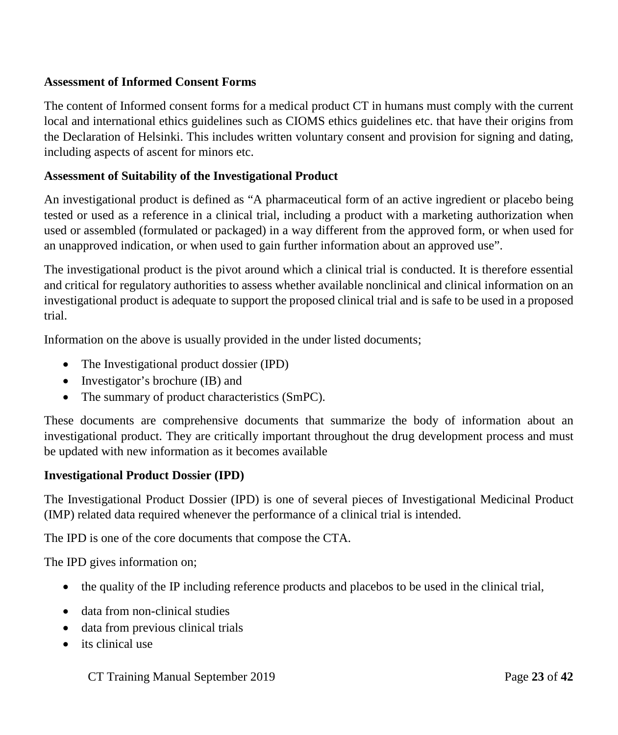# **Assessment of Informed Consent Forms**

The content of Informed consent forms for a medical product CT in humans must comply with the current local and international ethics guidelines such as CIOMS ethics guidelines etc. that have their origins from the Declaration of Helsinki. This includes written voluntary consent and provision for signing and dating, including aspects of ascent for minors etc.

### **Assessment of Suitability of the Investigational Product**

An investigational product is defined as "A pharmaceutical form of an active ingredient or placebo being tested or used as a reference in a clinical trial, including a product with a marketing authorization when used or assembled (formulated or packaged) in a way different from the approved form, or when used for an unapproved indication, or when used to gain further information about an approved use".

The investigational product is the pivot around which a clinical trial is conducted. It is therefore essential and critical for regulatory authorities to assess whether available nonclinical and clinical information on an investigational product is adequate to support the proposed clinical trial and is safe to be used in a proposed trial.

Information on the above is usually provided in the under listed documents;

- The Investigational product dossier (IPD)
- Investigator's brochure (IB) and
- The summary of product characteristics (SmPC).

These documents are comprehensive documents that summarize the body of information about an investigational product. They are critically important throughout the drug development process and must be updated with new information as it becomes available

#### **Investigational Product Dossier (IPD)**

The Investigational Product Dossier (IPD) is one of several pieces of Investigational Medicinal Product (IMP) related data required whenever the performance of a clinical trial is intended.

The IPD is one of the core documents that compose the CTA.

The IPD gives information on;

- the quality of the IP including reference products and placebos to be used in the clinical trial,
- data from non-clinical studies
- data from previous clinical trials
- its clinical use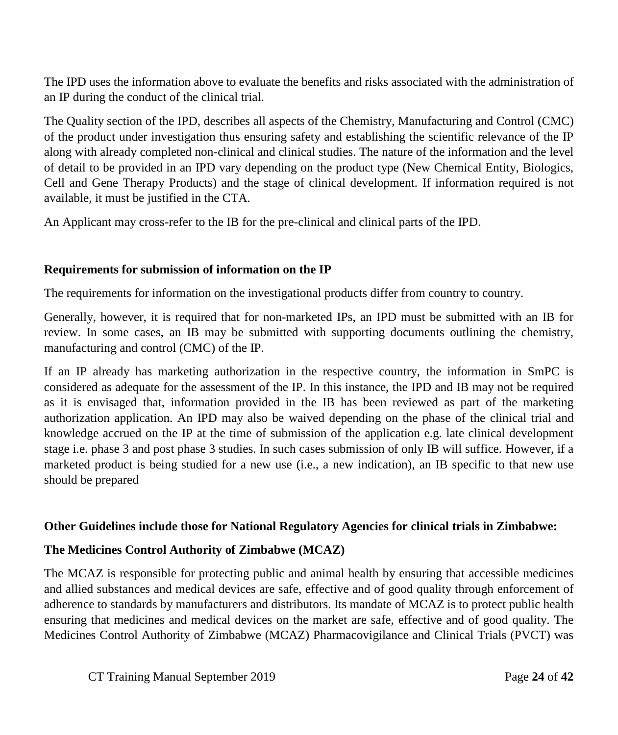The IPD uses the information above to evaluate the benefits and risks associated with the administration of an IP during the conduct of the clinical trial.

The Quality section of the IPD, describes all aspects of the Chemistry, Manufacturing and Control (CMC) of the product under investigation thus ensuring safety and establishing the scientific relevance of the IP along with already completed non-clinical and clinical studies. The nature of the information and the level of detail to be provided in an IPD vary depending on the product type (New Chemical Entity, Biologics, Cell and Gene Therapy Products) and the stage of clinical development. If information required is not available, it must be justified in the CTA.

An Applicant may cross-refer to the IB for the pre-clinical and clinical parts of the IPD.

# **Requirements for submission of information on the IP**

The requirements for information on the investigational products differ from country to country.

Generally, however, it is required that for non-marketed IPs, an IPD must be submitted with an IB for review. In some cases, an IB may be submitted with supporting documents outlining the chemistry, manufacturing and control (CMC) of the IP.

If an IP already has marketing authorization in the respective country, the information in SmPC is considered as adequate for the assessment of the IP. In this instance, the IPD and IB may not be required as it is envisaged that, information provided in the IB has been reviewed as part of the marketing authorization application. An IPD may also be waived depending on the phase of the clinical trial and knowledge accrued on the IP at the time of submission of the application e.g. late clinical development stage i.e. phase 3 and post phase 3 studies. In such cases submission of only IB will suffice. However, if a marketed product is being studied for a new use (i.e., a new indication), an IB specific to that new use should be prepared

#### **Other Guidelines include those for National Regulatory Agencies for clinical trials in Zimbabwe:**

#### **The Medicines Control Authority of Zimbabwe (MCAZ)**

The MCAZ is responsible for protecting public and animal health by ensuring that accessible medicines and allied substances and medical devices are safe, effective and of good quality through enforcement of adherence to standards by manufacturers and distributors. Its mandate of MCAZ is to protect public health ensuring that medicines and medical devices on the market are safe, effective and of good quality. The Medicines Control Authority of Zimbabwe (MCAZ) Pharmacovigilance and Clinical Trials (PVCT) was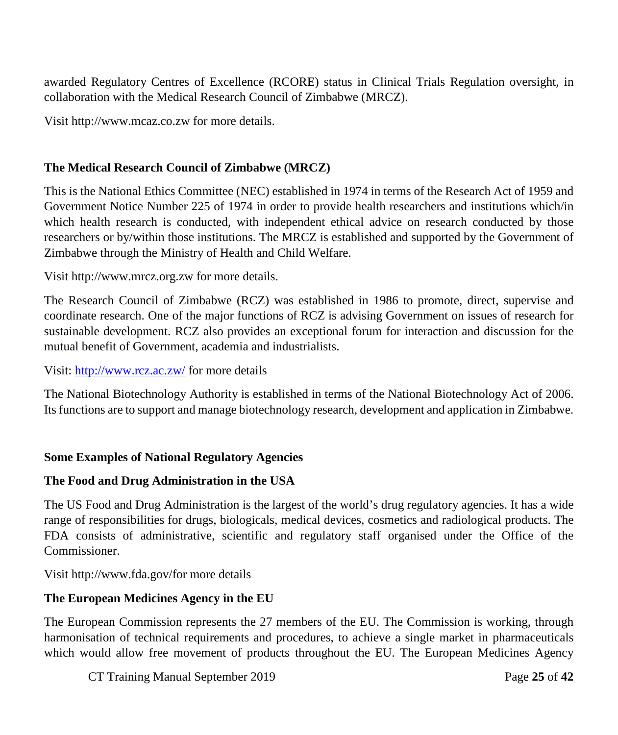awarded Regulatory Centres of Excellence (RCORE) status in Clinical Trials Regulation oversight, in collaboration with the Medical Research Council of Zimbabwe (MRCZ).

Visit http://www.mcaz.co.zw for more details.

# **The Medical Research Council of Zimbabwe (MRCZ)**

This is the National Ethics Committee (NEC) established in 1974 in terms of the Research Act of 1959 and Government Notice Number 225 of 1974 in order to provide health researchers and institutions which/in which health research is conducted, with independent ethical advice on research conducted by those researchers or by/within those institutions. The MRCZ is established and supported by the Government of Zimbabwe through the Ministry of Health and Child Welfare.

Visit http://www.mrcz.org.zw for more details.

The Research Council of Zimbabwe (RCZ) was established in 1986 to promote, direct, supervise and coordinate research. One of the major functions of RCZ is advising Government on issues of research for sustainable development. RCZ also provides an exceptional forum for interaction and discussion for the mutual benefit of Government, academia and industrialists.

Visit:<http://www.rcz.ac.zw/> for more details

The National Biotechnology Authority is established in terms of the National Biotechnology Act of 2006. Its functions are to support and manage biotechnology research, development and application in Zimbabwe.

# **Some Examples of National Regulatory Agencies**

#### **The Food and Drug Administration in the USA**

The US Food and Drug Administration is the largest of the world's drug regulatory agencies. It has a wide range of responsibilities for drugs, biologicals, medical devices, cosmetics and radiological products. The FDA consists of administrative, scientific and regulatory staff organised under the Office of the Commissioner.

Visit http://www.fda.gov/for more details

# **The European Medicines Agency in the EU**

The European Commission represents the 27 members of the EU. The Commission is working, through harmonisation of technical requirements and procedures, to achieve a single market in pharmaceuticals which would allow free movement of products throughout the EU. The European Medicines Agency

CT Training Manual September 2019 Page **25** of **42**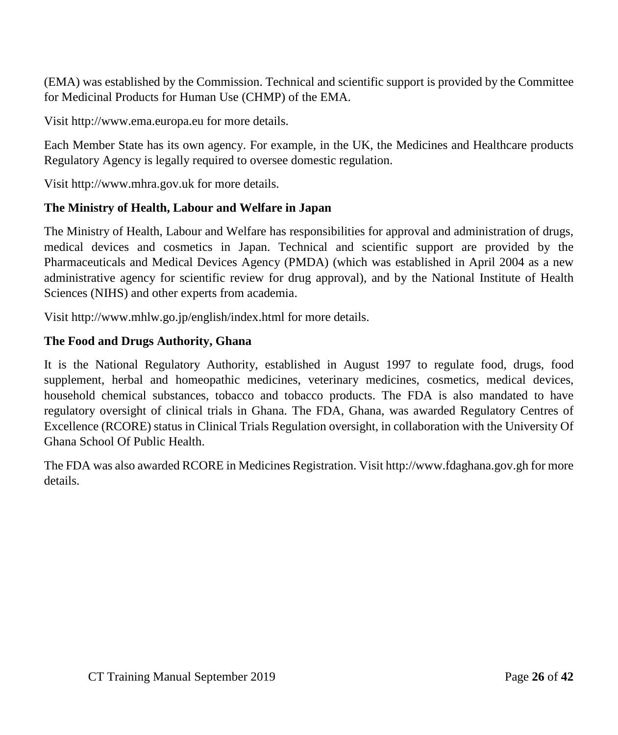(EMA) was established by the Commission. Technical and scientific support is provided by the Committee for Medicinal Products for Human Use (CHMP) of the EMA.

Visit http://www.ema.europa.eu for more details.

Each Member State has its own agency. For example, in the UK, the Medicines and Healthcare products Regulatory Agency is legally required to oversee domestic regulation.

Visit http://www.mhra.gov.uk for more details.

### **The Ministry of Health, Labour and Welfare in Japan**

The Ministry of Health, Labour and Welfare has responsibilities for approval and administration of drugs, medical devices and cosmetics in Japan. Technical and scientific support are provided by the Pharmaceuticals and Medical Devices Agency (PMDA) (which was established in April 2004 as a new administrative agency for scientific review for drug approval), and by the National Institute of Health Sciences (NIHS) and other experts from academia.

Visit http://www.mhlw.go.jp/english/index.html for more details.

### **The Food and Drugs Authority, Ghana**

It is the National Regulatory Authority, established in August 1997 to regulate food, drugs, food supplement, herbal and homeopathic medicines, veterinary medicines, cosmetics, medical devices, household chemical substances, tobacco and tobacco products. The FDA is also mandated to have regulatory oversight of clinical trials in Ghana. The FDA, Ghana, was awarded Regulatory Centres of Excellence (RCORE) status in Clinical Trials Regulation oversight, in collaboration with the University Of Ghana School Of Public Health.

The FDA was also awarded RCORE in Medicines Registration. Visit http://www.fdaghana.gov.gh for more details.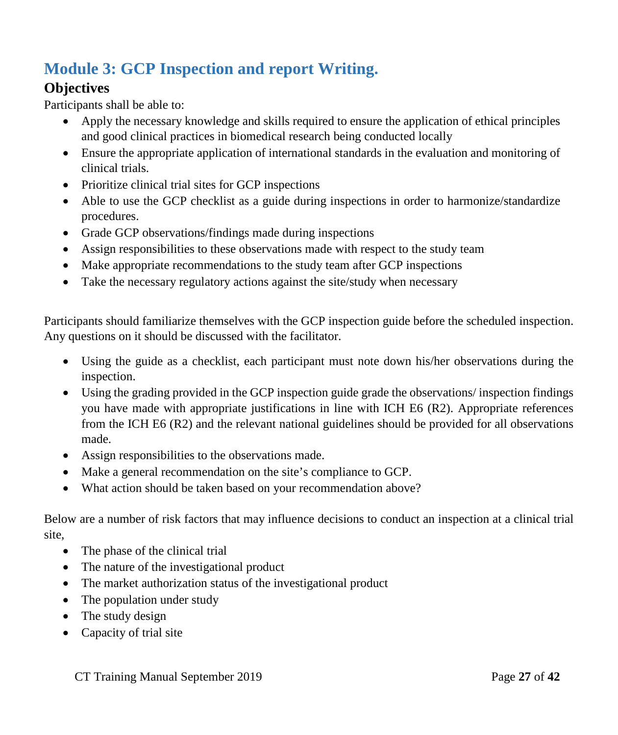# **Module 3: GCP Inspection and report Writing.**

# **Objectives**

Participants shall be able to:

- Apply the necessary knowledge and skills required to ensure the application of ethical principles and good clinical practices in biomedical research being conducted locally
- Ensure the appropriate application of international standards in the evaluation and monitoring of clinical trials.
- Prioritize clinical trial sites for GCP inspections
- Able to use the GCP checklist as a guide during inspections in order to harmonize/standardize procedures.
- Grade GCP observations/findings made during inspections
- Assign responsibilities to these observations made with respect to the study team
- Make appropriate recommendations to the study team after GCP inspections
- Take the necessary regulatory actions against the site/study when necessary

Participants should familiarize themselves with the GCP inspection guide before the scheduled inspection. Any questions on it should be discussed with the facilitator.

- Using the guide as a checklist, each participant must note down his/her observations during the inspection.
- Using the grading provided in the GCP inspection guide grade the observations/ inspection findings you have made with appropriate justifications in line with ICH E6 (R2). Appropriate references from the ICH E6 (R2) and the relevant national guidelines should be provided for all observations made.
- Assign responsibilities to the observations made.
- Make a general recommendation on the site's compliance to GCP.
- What action should be taken based on your recommendation above?

Below are a number of risk factors that may influence decisions to conduct an inspection at a clinical trial site,

- The phase of the clinical trial
- The nature of the investigational product
- The market authorization status of the investigational product
- The population under study
- The study design
- Capacity of trial site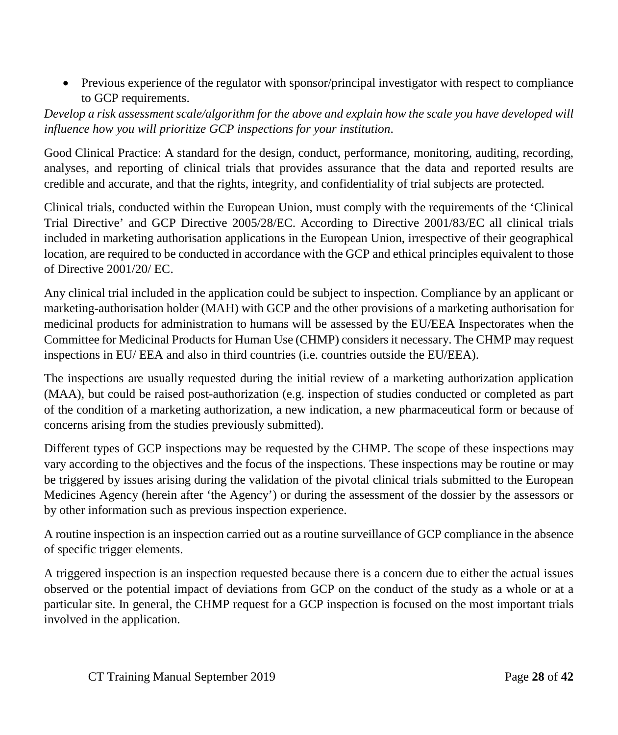• Previous experience of the regulator with sponsor/principal investigator with respect to compliance to GCP requirements.

*Develop a risk assessment scale/algorithm for the above and explain how the scale you have developed will influence how you will prioritize GCP inspections for your institution*.

Good Clinical Practice: A standard for the design, conduct, performance, monitoring, auditing, recording, analyses, and reporting of clinical trials that provides assurance that the data and reported results are credible and accurate, and that the rights, integrity, and confidentiality of trial subjects are protected.

Clinical trials, conducted within the European Union, must comply with the requirements of the 'Clinical Trial Directive' and GCP Directive 2005/28/EC. According to Directive 2001/83/EC all clinical trials included in marketing authorisation applications in the European Union, irrespective of their geographical location, are required to be conducted in accordance with the GCP and ethical principles equivalent to those of Directive 2001/20/ EC.

Any clinical trial included in the application could be subject to inspection. Compliance by an applicant or marketing-authorisation holder (MAH) with GCP and the other provisions of a marketing authorisation for medicinal products for administration to humans will be assessed by the EU/EEA Inspectorates when the Committee for Medicinal Products for Human Use (CHMP) considers it necessary. The CHMP may request inspections in EU/ EEA and also in third countries (i.e. countries outside the EU/EEA).

The inspections are usually requested during the initial review of a marketing authorization application (MAA), but could be raised post-authorization (e.g. inspection of studies conducted or completed as part of the condition of a marketing authorization, a new indication, a new pharmaceutical form or because of concerns arising from the studies previously submitted).

Different types of GCP inspections may be requested by the CHMP. The scope of these inspections may vary according to the objectives and the focus of the inspections. These inspections may be routine or may be triggered by issues arising during the validation of the pivotal clinical trials submitted to the European Medicines Agency (herein after 'the Agency') or during the assessment of the dossier by the assessors or by other information such as previous inspection experience.

A routine inspection is an inspection carried out as a routine surveillance of GCP compliance in the absence of specific trigger elements.

A triggered inspection is an inspection requested because there is a concern due to either the actual issues observed or the potential impact of deviations from GCP on the conduct of the study as a whole or at a particular site. In general, the CHMP request for a GCP inspection is focused on the most important trials involved in the application.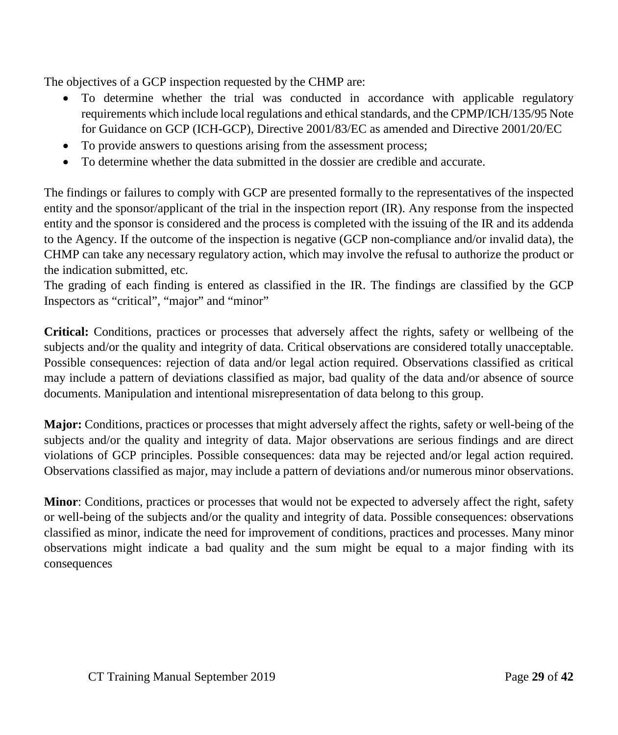The objectives of a GCP inspection requested by the CHMP are:

- To determine whether the trial was conducted in accordance with applicable regulatory requirements which include local regulations and ethical standards, and the CPMP/ICH/135/95 Note for Guidance on GCP (ICH-GCP), Directive 2001/83/EC as amended and Directive 2001/20/EC
- To provide answers to questions arising from the assessment process:
- To determine whether the data submitted in the dossier are credible and accurate.

The findings or failures to comply with GCP are presented formally to the representatives of the inspected entity and the sponsor/applicant of the trial in the inspection report (IR). Any response from the inspected entity and the sponsor is considered and the process is completed with the issuing of the IR and its addenda to the Agency. If the outcome of the inspection is negative (GCP non-compliance and/or invalid data), the CHMP can take any necessary regulatory action, which may involve the refusal to authorize the product or the indication submitted, etc.

The grading of each finding is entered as classified in the IR. The findings are classified by the GCP Inspectors as "critical", "major" and "minor"

**Critical:** Conditions, practices or processes that adversely affect the rights, safety or wellbeing of the subjects and/or the quality and integrity of data. Critical observations are considered totally unacceptable. Possible consequences: rejection of data and/or legal action required. Observations classified as critical may include a pattern of deviations classified as major, bad quality of the data and/or absence of source documents. Manipulation and intentional misrepresentation of data belong to this group.

**Major:** Conditions, practices or processes that might adversely affect the rights, safety or well-being of the subjects and/or the quality and integrity of data. Major observations are serious findings and are direct violations of GCP principles. Possible consequences: data may be rejected and/or legal action required. Observations classified as major, may include a pattern of deviations and/or numerous minor observations.

**Minor**: Conditions, practices or processes that would not be expected to adversely affect the right, safety or well-being of the subjects and/or the quality and integrity of data. Possible consequences: observations classified as minor, indicate the need for improvement of conditions, practices and processes. Many minor observations might indicate a bad quality and the sum might be equal to a major finding with its consequences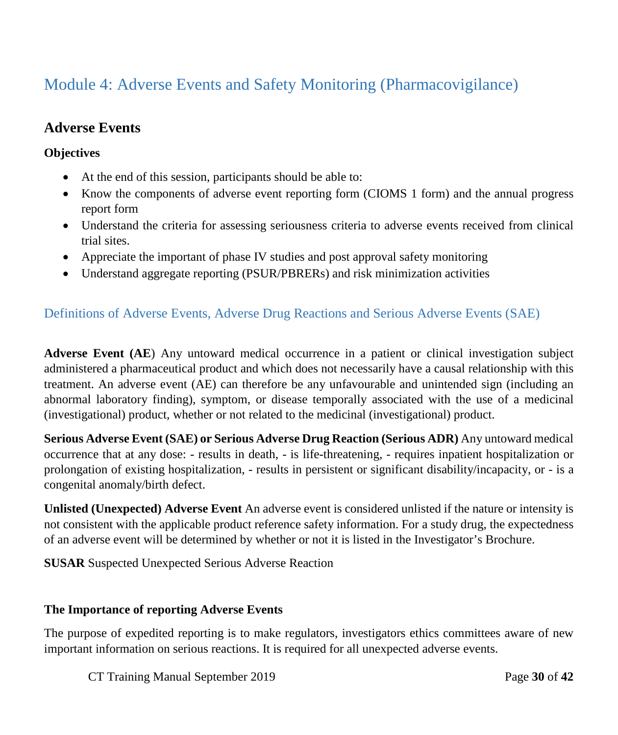# Module 4: Adverse Events and Safety Monitoring (Pharmacovigilance)

# **Adverse Events**

# **Objectives**

- At the end of this session, participants should be able to:
- Know the components of adverse event reporting form (CIOMS 1 form) and the annual progress report form
- Understand the criteria for assessing seriousness criteria to adverse events received from clinical trial sites.
- Appreciate the important of phase IV studies and post approval safety monitoring
- Understand aggregate reporting (PSUR/PBRERs) and risk minimization activities

# Definitions of Adverse Events, Adverse Drug Reactions and Serious Adverse Events (SAE)

**Adverse Event (AE**) Any untoward medical occurrence in a patient or clinical investigation subject administered a pharmaceutical product and which does not necessarily have a causal relationship with this treatment. An adverse event (AE) can therefore be any unfavourable and unintended sign (including an abnormal laboratory finding), symptom, or disease temporally associated with the use of a medicinal (investigational) product, whether or not related to the medicinal (investigational) product.

**Serious Adverse Event (SAE) or Serious Adverse Drug Reaction (Serious ADR)** Any untoward medical occurrence that at any dose: - results in death, - is life-threatening, - requires inpatient hospitalization or prolongation of existing hospitalization, - results in persistent or significant disability/incapacity, or - is a congenital anomaly/birth defect.

**Unlisted (Unexpected) Adverse Event** An adverse event is considered unlisted if the nature or intensity is not consistent with the applicable product reference safety information. For a study drug, the expectedness of an adverse event will be determined by whether or not it is listed in the Investigator's Brochure.

**SUSAR** Suspected Unexpected Serious Adverse Reaction

# **The Importance of reporting Adverse Events**

The purpose of expedited reporting is to make regulators, investigators ethics committees aware of new important information on serious reactions. It is required for all unexpected adverse events.

CT Training Manual September 2019 Page **30** of **42**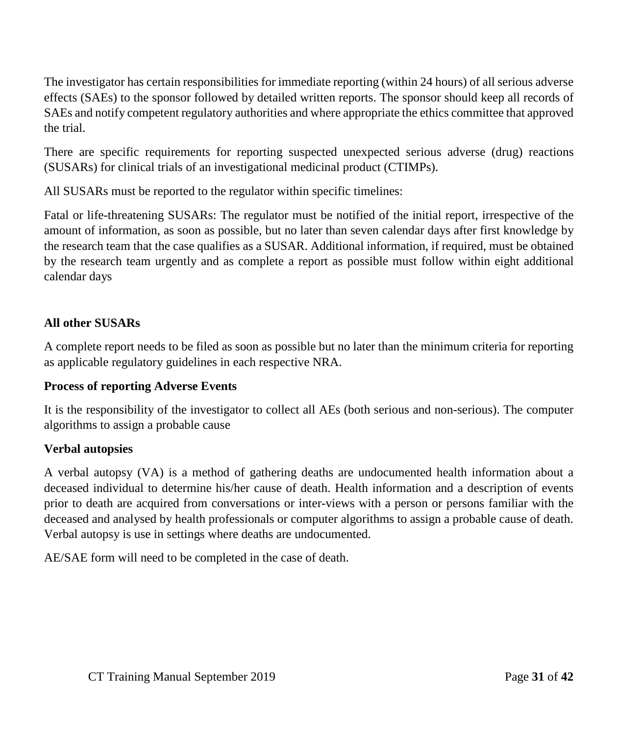The investigator has certain responsibilities for immediate reporting (within 24 hours) of all serious adverse effects (SAEs) to the sponsor followed by detailed written reports. The sponsor should keep all records of SAEs and notify competent regulatory authorities and where appropriate the ethics committee that approved the trial.

There are specific requirements for reporting suspected unexpected serious adverse (drug) reactions (SUSARs) for clinical trials of an investigational medicinal product (CTIMPs).

All SUSARs must be reported to the regulator within specific timelines:

Fatal or life-threatening SUSARs: The regulator must be notified of the initial report, irrespective of the amount of information, as soon as possible, but no later than seven calendar days after first knowledge by the research team that the case qualifies as a SUSAR. Additional information, if required, must be obtained by the research team urgently and as complete a report as possible must follow within eight additional calendar days

# **All other SUSARs**

A complete report needs to be filed as soon as possible but no later than the minimum criteria for reporting as applicable regulatory guidelines in each respective NRA.

# **Process of reporting Adverse Events**

It is the responsibility of the investigator to collect all AEs (both serious and non-serious). The computer algorithms to assign a probable cause

# **Verbal autopsies**

A verbal autopsy (VA) is a method of gathering deaths are undocumented health information about a deceased individual to determine his/her cause of death. Health information and a description of events prior to death are acquired from conversations or inter-views with a person or persons familiar with the deceased and analysed by health professionals or computer algorithms to assign a probable cause of death. Verbal autopsy is use in settings where deaths are undocumented.

AE/SAE form will need to be completed in the case of death.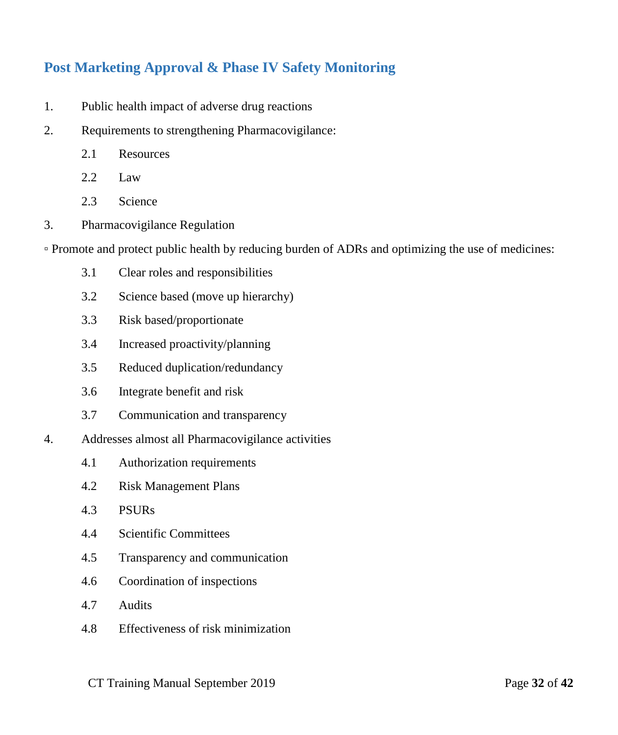# **Post Marketing Approval & Phase IV Safety Monitoring**

- 1. Public health impact of adverse drug reactions
- 2. Requirements to strengthening Pharmacovigilance:
	- 2.1 Resources
	- 2.2 Law
	- 2.3 Science
- 3. Pharmacovigilance Regulation
- Promote and protect public health by reducing burden of ADRs and optimizing the use of medicines:
	- 3.1 Clear roles and responsibilities
	- 3.2 Science based (move up hierarchy)
	- 3.3 Risk based/proportionate
	- 3.4 Increased proactivity/planning
	- 3.5 Reduced duplication/redundancy
	- 3.6 Integrate benefit and risk
	- 3.7 Communication and transparency
- 4. Addresses almost all Pharmacovigilance activities
	- 4.1 Authorization requirements
	- 4.2 Risk Management Plans
	- 4.3 PSURs
	- 4.4 Scientific Committees
	- 4.5 Transparency and communication
	- 4.6 Coordination of inspections
	- 4.7 Audits
	- 4.8 Effectiveness of risk minimization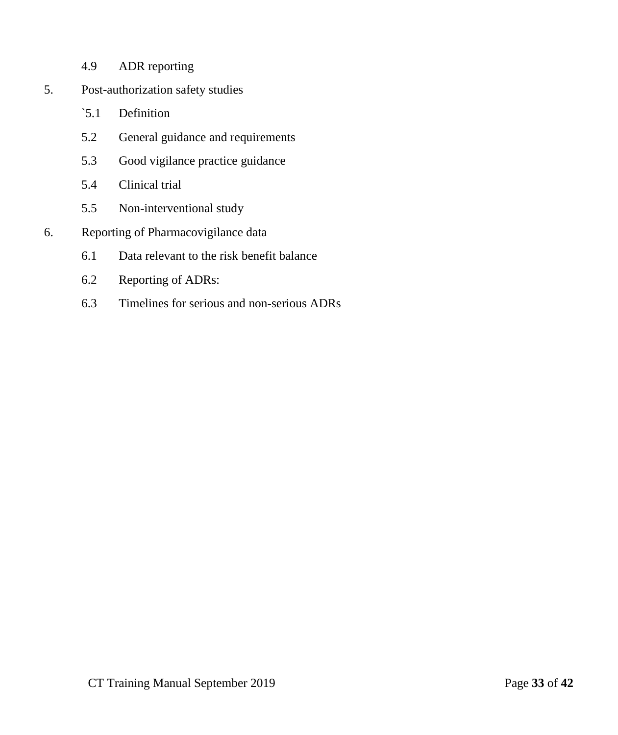- 4.9 ADR reporting
- 5. Post-authorization safety studies
	- `5.1 Definition
	- 5.2 General guidance and requirements
	- 5.3 Good vigilance practice guidance
	- 5.4 Clinical trial
	- 5.5 Non-interventional study
- 6. Reporting of Pharmacovigilance data
	- 6.1 Data relevant to the risk benefit balance
	- 6.2 Reporting of ADRs:
	- 6.3 Timelines for serious and non-serious ADRs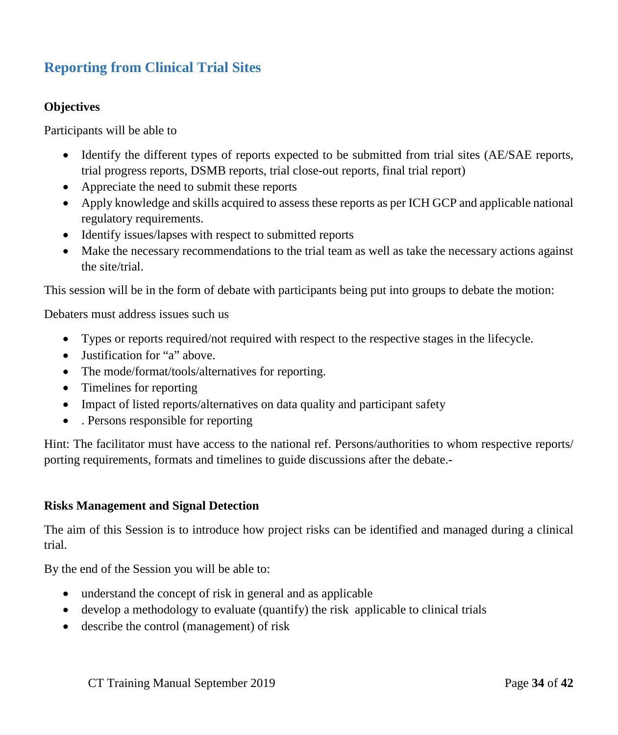# **Reporting from Clinical Trial Sites**

# **Objectives**

Participants will be able to

- Identify the different types of reports expected to be submitted from trial sites (AE/SAE reports, trial progress reports, DSMB reports, trial close-out reports, final trial report)
- Appreciate the need to submit these reports
- Apply knowledge and skills acquired to assess these reports as per ICH GCP and applicable national regulatory requirements.
- Identify issues/lapses with respect to submitted reports
- Make the necessary recommendations to the trial team as well as take the necessary actions against the site/trial.

This session will be in the form of debate with participants being put into groups to debate the motion:

Debaters must address issues such us

- Types or reports required/not required with respect to the respective stages in the lifecycle.
- Justification for "a" above.
- The mode/format/tools/alternatives for reporting.
- Timelines for reporting
- Impact of listed reports/alternatives on data quality and participant safety
- . Persons responsible for reporting

Hint: The facilitator must have access to the national ref. Persons/authorities to whom respective reports/ porting requirements, formats and timelines to guide discussions after the debate.-

#### **Risks Management and Signal Detection**

The aim of this Session is to introduce how project risks can be identified and managed during a clinical trial.

By the end of the Session you will be able to:

- understand the concept of risk in general and as applicable
- develop a methodology to evaluate (quantify) the risk applicable to clinical trials
- describe the control (management) of risk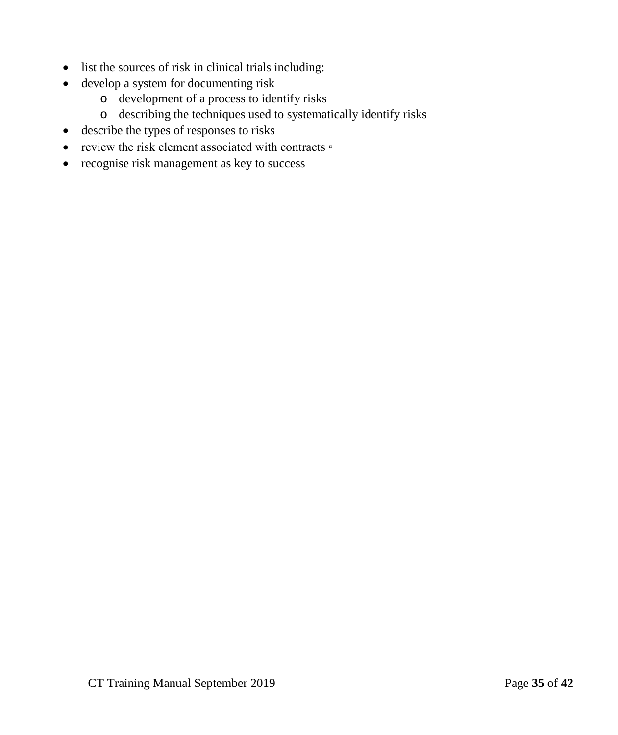- list the sources of risk in clinical trials including:
- develop a system for documenting risk
	- o development of a process to identify risks
	- o describing the techniques used to systematically identify risks
- describe the types of responses to risks
- review the risk element associated with contracts  $\cdot$
- recognise risk management as key to success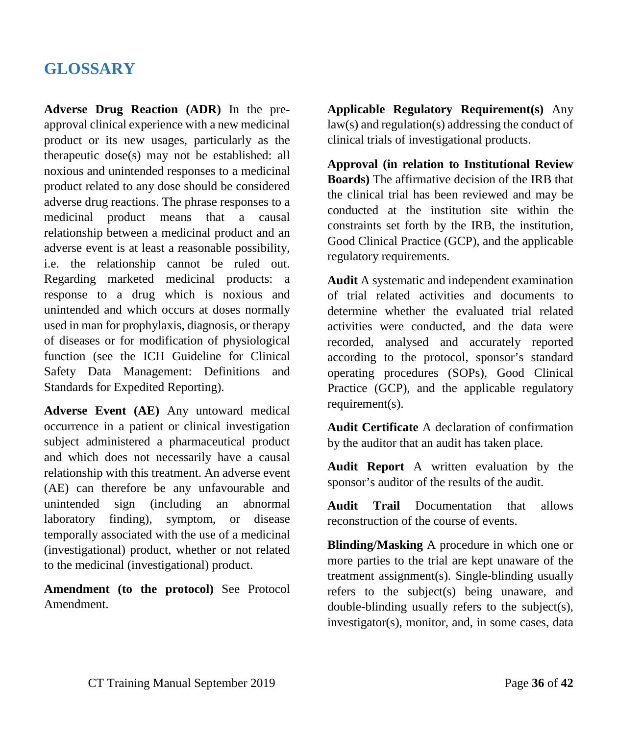# **GLOSSARY**

**Adverse Drug Reaction (ADR)** In the preapproval clinical experience with a new medicinal product or its new usages, particularly as the therapeutic dose(s) may not be established: all noxious and unintended responses to a medicinal product related to any dose should be considered adverse drug reactions. The phrase responses to a medicinal product means that a causal relationship between a medicinal product and an adverse event is at least a reasonable possibility, i.e. the relationship cannot be ruled out. Regarding marketed medicinal products: a response to a drug which is noxious and unintended and which occurs at doses normally used in man for prophylaxis, diagnosis, or therapy of diseases or for modification of physiological function (see the ICH Guideline for Clinical Safety Data Management: Definitions and Standards for Expedited Reporting).

**Adverse Event (AE)** Any untoward medical occurrence in a patient or clinical investigation subject administered a pharmaceutical product and which does not necessarily have a causal relationship with this treatment. An adverse event (AE) can therefore be any unfavourable and unintended sign (including an abnormal laboratory finding), symptom, or disease temporally associated with the use of a medicinal (investigational) product, whether or not related to the medicinal (investigational) product.

**Amendment (to the protocol)** See Protocol Amendment.

**Applicable Regulatory Requirement(s)** Any law(s) and regulation(s) addressing the conduct of clinical trials of investigational products.

**Approval (in relation to Institutional Review Boards)** The affirmative decision of the IRB that the clinical trial has been reviewed and may be conducted at the institution site within the constraints set forth by the IRB, the institution, Good Clinical Practice (GCP), and the applicable regulatory requirements.

**Audit** A systematic and independent examination of trial related activities and documents to determine whether the evaluated trial related activities were conducted, and the data were recorded, analysed and accurately reported according to the protocol, sponsor's standard operating procedures (SOPs), Good Clinical Practice (GCP), and the applicable regulatory requirement(s).

**Audit Certificate** A declaration of confirmation by the auditor that an audit has taken place.

**Audit Report** A written evaluation by the sponsor's auditor of the results of the audit.

**Audit Trail** Documentation that allows reconstruction of the course of events.

**Blinding/Masking** A procedure in which one or more parties to the trial are kept unaware of the treatment assignment(s). Single-blinding usually refers to the subject(s) being unaware, and double-blinding usually refers to the subject(s), investigator(s), monitor, and, in some cases, data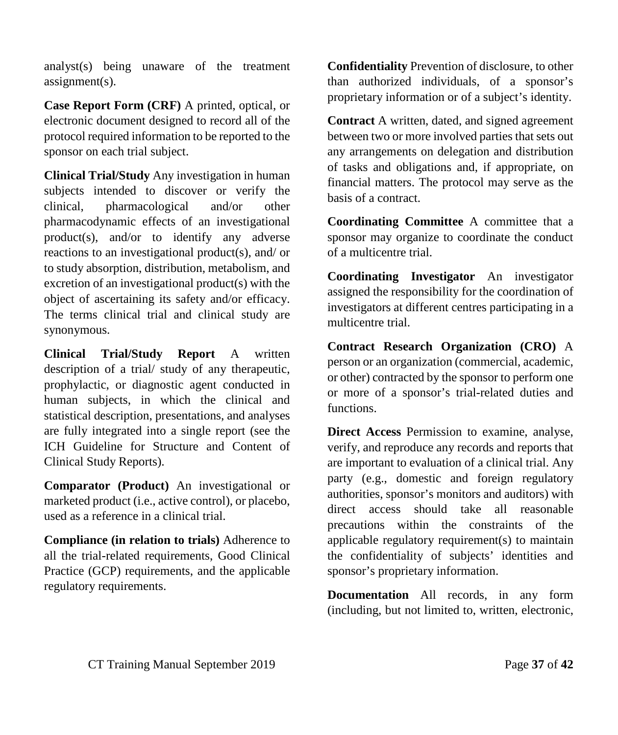analyst(s) being unaware of the treatment assignment(s).

**Case Report Form (CRF)** A printed, optical, or electronic document designed to record all of the protocol required information to be reported to the sponsor on each trial subject.

**Clinical Trial/Study** Any investigation in human subjects intended to discover or verify the clinical, pharmacological and/or other pharmacodynamic effects of an investigational product(s), and/or to identify any adverse reactions to an investigational product(s), and/ or to study absorption, distribution, metabolism, and excretion of an investigational product(s) with the object of ascertaining its safety and/or efficacy. The terms clinical trial and clinical study are synonymous.

**Clinical Trial/Study Report** A written description of a trial/ study of any therapeutic, prophylactic, or diagnostic agent conducted in human subjects, in which the clinical and statistical description, presentations, and analyses are fully integrated into a single report (see the ICH Guideline for Structure and Content of Clinical Study Reports).

**Comparator (Product)** An investigational or marketed product (i.e., active control), or placebo, used as a reference in a clinical trial.

**Compliance (in relation to trials)** Adherence to all the trial-related requirements, Good Clinical Practice (GCP) requirements, and the applicable regulatory requirements.

**Confidentiality** Prevention of disclosure, to other than authorized individuals, of a sponsor's proprietary information or of a subject's identity.

**Contract** A written, dated, and signed agreement between two or more involved parties that sets out any arrangements on delegation and distribution of tasks and obligations and, if appropriate, on financial matters. The protocol may serve as the basis of a contract.

**Coordinating Committee** A committee that a sponsor may organize to coordinate the conduct of a multicentre trial.

**Coordinating Investigator** An investigator assigned the responsibility for the coordination of investigators at different centres participating in a multicentre trial.

**Contract Research Organization (CRO)** A person or an organization (commercial, academic, or other) contracted by the sponsor to perform one or more of a sponsor's trial-related duties and functions.

**Direct Access** Permission to examine, analyse, verify, and reproduce any records and reports that are important to evaluation of a clinical trial. Any party (e.g., domestic and foreign regulatory authorities, sponsor's monitors and auditors) with direct access should take all reasonable precautions within the constraints of the applicable regulatory requirement(s) to maintain the confidentiality of subjects' identities and sponsor's proprietary information.

**Documentation** All records, in any form (including, but not limited to, written, electronic,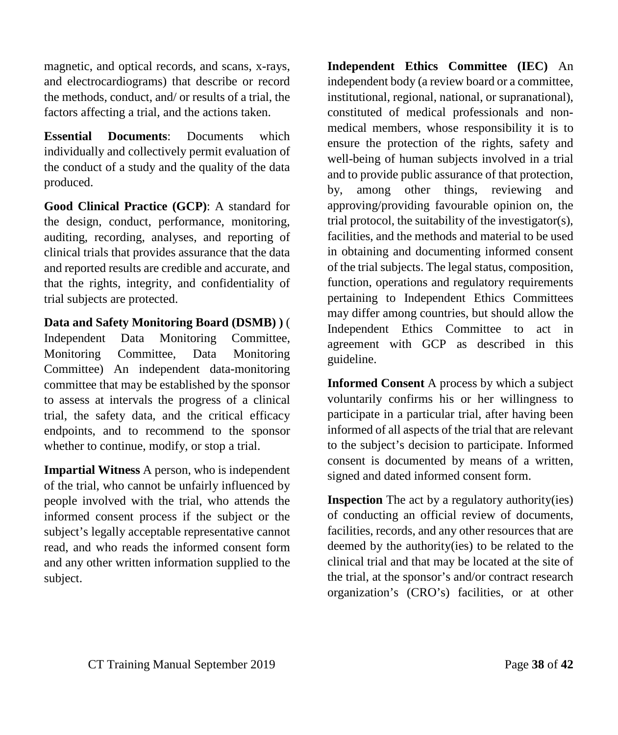magnetic, and optical records, and scans, x-rays, and electrocardiograms) that describe or record the methods, conduct, and/ or results of a trial, the factors affecting a trial, and the actions taken.

**Essential Documents**: Documents which individually and collectively permit evaluation of the conduct of a study and the quality of the data produced.

**Good Clinical Practice (GCP)**: A standard for the design, conduct, performance, monitoring, auditing, recording, analyses, and reporting of clinical trials that provides assurance that the data and reported results are credible and accurate, and that the rights, integrity, and confidentiality of trial subjects are protected.

**Data and Safety Monitoring Board (DSMB) )** (

Independent Data Monitoring Committee, Monitoring Committee, Data Monitoring Committee) An independent data-monitoring committee that may be established by the sponsor to assess at intervals the progress of a clinical trial, the safety data, and the critical efficacy endpoints, and to recommend to the sponsor whether to continue, modify, or stop a trial.

**Impartial Witness** A person, who is independent of the trial, who cannot be unfairly influenced by people involved with the trial, who attends the informed consent process if the subject or the subject's legally acceptable representative cannot read, and who reads the informed consent form and any other written information supplied to the subject.

**Independent Ethics Committee (IEC)** An independent body (a review board or a committee, institutional, regional, national, or supranational), constituted of medical professionals and nonmedical members, whose responsibility it is to ensure the protection of the rights, safety and well-being of human subjects involved in a trial and to provide public assurance of that protection, by, among other things, reviewing and approving/providing favourable opinion on, the trial protocol, the suitability of the investigator(s), facilities, and the methods and material to be used in obtaining and documenting informed consent of the trial subjects. The legal status, composition, function, operations and regulatory requirements pertaining to Independent Ethics Committees may differ among countries, but should allow the Independent Ethics Committee to act in agreement with GCP as described in this guideline.

**Informed Consent** A process by which a subject voluntarily confirms his or her willingness to participate in a particular trial, after having been informed of all aspects of the trial that are relevant to the subject's decision to participate. Informed consent is documented by means of a written, signed and dated informed consent form.

**Inspection** The act by a regulatory authority(ies) of conducting an official review of documents, facilities, records, and any other resources that are deemed by the authority(ies) to be related to the clinical trial and that may be located at the site of the trial, at the sponsor's and/or contract research organization's (CRO's) facilities, or at other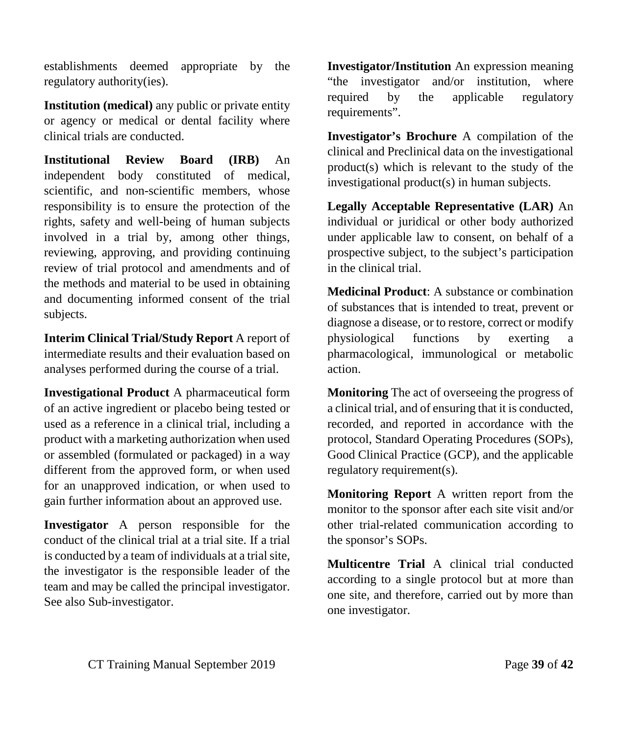establishments deemed appropriate by the regulatory authority(ies).

**Institution (medical)** any public or private entity or agency or medical or dental facility where clinical trials are conducted.

**Institutional Review Board (IRB)** An independent body constituted of medical, scientific, and non-scientific members, whose responsibility is to ensure the protection of the rights, safety and well-being of human subjects involved in a trial by, among other things, reviewing, approving, and providing continuing review of trial protocol and amendments and of the methods and material to be used in obtaining and documenting informed consent of the trial subjects.

**Interim Clinical Trial/Study Report** A report of intermediate results and their evaluation based on analyses performed during the course of a trial.

**Investigational Product** A pharmaceutical form of an active ingredient or placebo being tested or used as a reference in a clinical trial, including a product with a marketing authorization when used or assembled (formulated or packaged) in a way different from the approved form, or when used for an unapproved indication, or when used to gain further information about an approved use.

**Investigator** A person responsible for the conduct of the clinical trial at a trial site. If a trial is conducted by a team of individuals at a trial site, the investigator is the responsible leader of the team and may be called the principal investigator. See also Sub-investigator.

**Investigator/Institution** An expression meaning "the investigator and/or institution, where required by the applicable regulatory requirements".

**Investigator's Brochure** A compilation of the clinical and Preclinical data on the investigational product(s) which is relevant to the study of the investigational product(s) in human subjects.

**Legally Acceptable Representative (LAR)** An individual or juridical or other body authorized under applicable law to consent, on behalf of a prospective subject, to the subject's participation in the clinical trial.

**Medicinal Product**: A substance or combination of substances that is intended to treat, prevent or diagnose a disease, or to restore, correct or modify physiological functions by exerting a pharmacological, immunological or metabolic action.

**Monitoring** The act of overseeing the progress of a clinical trial, and of ensuring that it is conducted, recorded, and reported in accordance with the protocol, Standard Operating Procedures (SOPs), Good Clinical Practice (GCP), and the applicable regulatory requirement(s).

**Monitoring Report** A written report from the monitor to the sponsor after each site visit and/or other trial-related communication according to the sponsor's SOPs.

**Multicentre Trial** A clinical trial conducted according to a single protocol but at more than one site, and therefore, carried out by more than one investigator.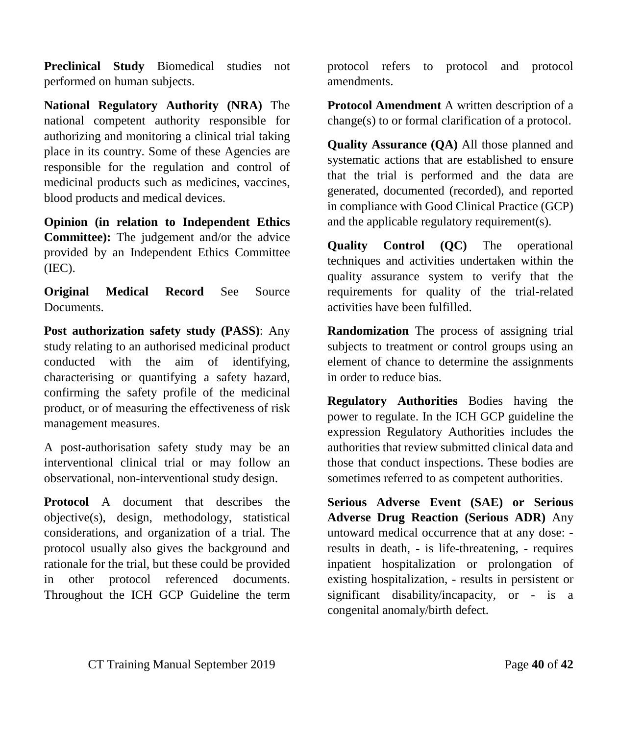**Preclinical Study** Biomedical studies not performed on human subjects.

**National Regulatory Authority (NRA)** The national competent authority responsible for authorizing and monitoring a clinical trial taking place in its country. Some of these Agencies are responsible for the regulation and control of medicinal products such as medicines, vaccines, blood products and medical devices.

**Opinion (in relation to Independent Ethics Committee):** The judgement and/or the advice provided by an Independent Ethics Committee (IEC).

**Original Medical Record** See Source Documents.

**Post authorization safety study (PASS)**: Any study relating to an authorised medicinal product conducted with the aim of identifying, characterising or quantifying a safety hazard, confirming the safety profile of the medicinal product, or of measuring the effectiveness of risk management measures.

A post-authorisation safety study may be an interventional clinical trial or may follow an observational, non-interventional study design.

**Protocol** A document that describes the objective(s), design, methodology, statistical considerations, and organization of a trial. The protocol usually also gives the background and rationale for the trial, but these could be provided in other protocol referenced documents. Throughout the ICH GCP Guideline the term protocol refers to protocol and protocol amendments.

**Protocol Amendment** A written description of a change(s) to or formal clarification of a protocol.

**Quality Assurance (QA)** All those planned and systematic actions that are established to ensure that the trial is performed and the data are generated, documented (recorded), and reported in compliance with Good Clinical Practice (GCP) and the applicable regulatory requirement(s).

**Quality Control (QC)** The operational techniques and activities undertaken within the quality assurance system to verify that the requirements for quality of the trial-related activities have been fulfilled.

**Randomization** The process of assigning trial subjects to treatment or control groups using an element of chance to determine the assignments in order to reduce bias.

**Regulatory Authorities** Bodies having the power to regulate. In the ICH GCP guideline the expression Regulatory Authorities includes the authorities that review submitted clinical data and those that conduct inspections. These bodies are sometimes referred to as competent authorities.

**Serious Adverse Event (SAE) or Serious Adverse Drug Reaction (Serious ADR)** Any untoward medical occurrence that at any dose: results in death, - is life-threatening, - requires inpatient hospitalization or prolongation of existing hospitalization, - results in persistent or significant disability/incapacity, or - is a congenital anomaly/birth defect.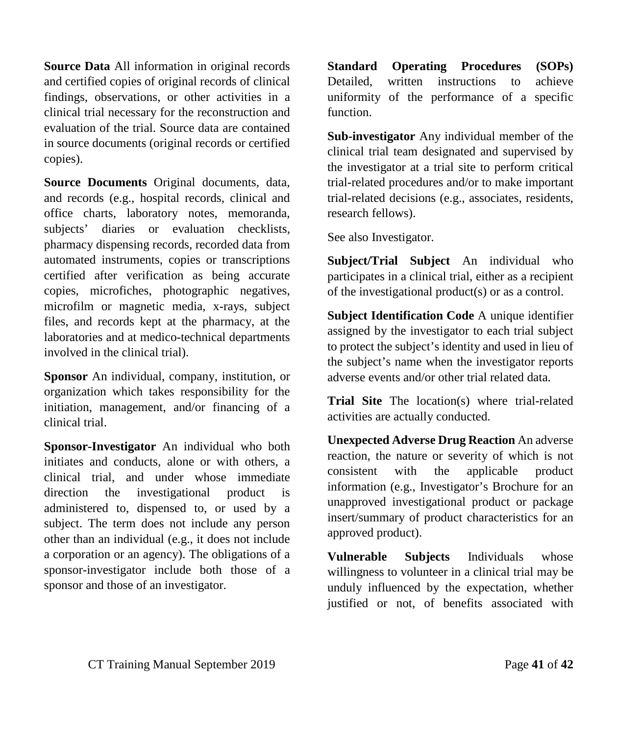**Source Data** All information in original records and certified copies of original records of clinical findings, observations, or other activities in a clinical trial necessary for the reconstruction and evaluation of the trial. Source data are contained in source documents (original records or certified copies).

**Source Documents** Original documents, data, and records (e.g., hospital records, clinical and office charts, laboratory notes, memoranda, subjects' diaries or evaluation checklists, pharmacy dispensing records, recorded data from automated instruments, copies or transcriptions certified after verification as being accurate copies, microfiches, photographic negatives, microfilm or magnetic media, x-rays, subject files, and records kept at the pharmacy, at the laboratories and at medico-technical departments involved in the clinical trial).

**Sponsor** An individual, company, institution, or organization which takes responsibility for the initiation, management, and/or financing of a clinical trial.

**Sponsor-Investigator** An individual who both initiates and conducts, alone or with others, a clinical trial, and under whose immediate direction the investigational product is administered to, dispensed to, or used by a subject. The term does not include any person other than an individual (e.g., it does not include a corporation or an agency). The obligations of a sponsor-investigator include both those of a sponsor and those of an investigator.

**Standard Operating Procedures (SOPs)** Detailed, written instructions to achieve uniformity of the performance of a specific function.

**Sub-investigator** Any individual member of the clinical trial team designated and supervised by the investigator at a trial site to perform critical trial-related procedures and/or to make important trial-related decisions (e.g., associates, residents, research fellows).

See also Investigator.

**Subject/Trial Subject** An individual who participates in a clinical trial, either as a recipient of the investigational product(s) or as a control.

**Subject Identification Code** A unique identifier assigned by the investigator to each trial subject to protect the subject's identity and used in lieu of the subject's name when the investigator reports adverse events and/or other trial related data.

**Trial Site** The location(s) where trial-related activities are actually conducted.

**Unexpected Adverse Drug Reaction** An adverse reaction, the nature or severity of which is not consistent with the applicable product information (e.g., Investigator's Brochure for an unapproved investigational product or package insert/summary of product characteristics for an approved product).

**Vulnerable Subjects** Individuals whose willingness to volunteer in a clinical trial may be unduly influenced by the expectation, whether justified or not, of benefits associated with